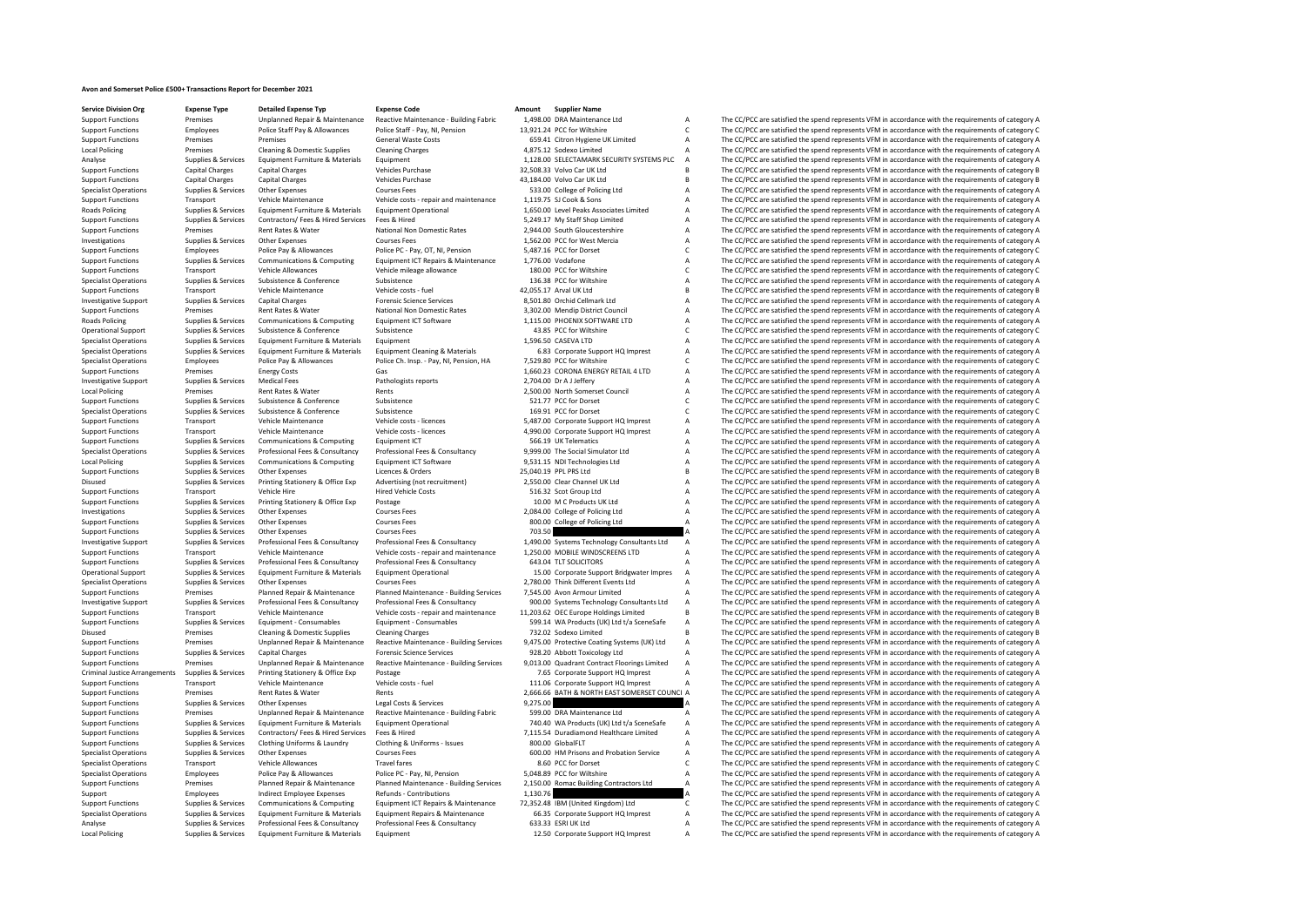## **Avon and Somerset Police £500+ Transactions Report for December 2021**

| <b>Service Division Org</b>   | <b>Expense Type</b>    | <b>Detailed Expense Typ</b>               | <b>Expense Code</b>                       | Amount<br><b>Supplier Name</b>               |                |                                                                                                     |
|-------------------------------|------------------------|-------------------------------------------|-------------------------------------------|----------------------------------------------|----------------|-----------------------------------------------------------------------------------------------------|
| <b>Support Functions</b>      | Premises               | Unplanned Repair & Maintenance            | Reactive Maintenance - Building Fabric    | 1,498.00 DRA Maintenance Ltd                 | А              | The CC/PCC are satisfied the spend represents VFM in accordance with the requirements of category A |
| <b>Support Functions</b>      | Employees              | Police Staff Pay & Allowances             | Police Staff - Pay, NI, Pension           | 13,921.24 PCC for Wiltshire                  | $\mathsf{C}$   | The CC/PCC are satisfied the spend represents VFM in accordance with the requirements of category C |
| <b>Support Functions</b>      | Premises               | Premises                                  | <b>General Waste Costs</b>                | 659.41 Citron Hygiene UK Limited             | А              | The CC/PCC are satisfied the spend represents VFM in accordance with the requirements of category A |
| <b>Local Policing</b>         | Premises               | <b>Cleaning &amp; Domestic Supplies</b>   | <b>Cleaning Charges</b>                   | 4,875.12 Sodexo Limited                      | A              | The CC/PCC are satisfied the spend represents VFM in accordance with the requirements of category A |
| Analyse                       | Supplies & Services    | Equipment Furniture & Materials           | Equipment                                 | 1,128.00 SELECTAMARK SECURITY SYSTEMS PLC    |                | The CC/PCC are satisfied the spend represents VFM in accordance with the requirements of category A |
| <b>Support Functions</b>      | <b>Capital Charges</b> | Capital Charges                           | Vehicles Purchase                         | 32,508.33 Volvo Car UK Ltd                   |                | The CC/PCC are satisfied the spend represents VFM in accordance with the requirements of category B |
| <b>Support Functions</b>      | <b>Capital Charges</b> | Capital Charges                           | Vehicles Purchase                         | 43,184.00 Volvo Car UK Ltd                   |                | The CC/PCC are satisfied the spend represents VFM in accordance with the requirements of category B |
| <b>Specialist Operations</b>  | Supplies & Services    | Other Expenses                            | <b>Courses Fees</b>                       | 533.00 College of Policing Ltd               | A              | The CC/PCC are satisfied the spend represents VFM in accordance with the requirements of category A |
| <b>Support Functions</b>      | Transport              | Vehicle Maintenance                       |                                           | 1.119.75 SLCook & Sons                       | A              | The CC/PCC are satisfied the spend represents VFM in accordance with the requirements of category A |
|                               |                        |                                           | Vehicle costs - repair and maintenance    |                                              |                |                                                                                                     |
| Roads Policing                | Supplies & Services    | Equipment Furniture & Materials           | <b>Equipment Operational</b>              | 1,650.00 Level Peaks Associates Limited      | А              | The CC/PCC are satisfied the spend represents VFM in accordance with the requirements of category A |
| <b>Support Functions</b>      | Supplies & Services    | Contractors/ Fees & Hired Services        | Fees & Hired                              | 5,249.17 My Staff Shop Limited               | А              | The CC/PCC are satisfied the spend represents VFM in accordance with the requirements of category A |
| <b>Support Functions</b>      | Premises               | Rent Rates & Water                        | National Non Domestic Rates               | 2,944.00 South Gloucestershire               | А              | The CC/PCC are satisfied the spend represents VFM in accordance with the requirements of category A |
| Investigations                | Supplies & Services    | Other Expenses                            | <b>Courses Fees</b>                       | 1,562.00 PCC for West Mercia                 | А              | The CC/PCC are satisfied the spend represents VFM in accordance with the requirements of category A |
| <b>Support Functions</b>      | Employees              | Police Pay & Allowances                   | Police PC - Pay, OT, NI, Pension          | 5.487.16 PCC for Dorset                      | C              | The CC/PCC are satisfied the spend represents VFM in accordance with the requirements of category C |
| <b>Support Functions</b>      | Supplies & Services    | Communications & Computing                | Equipment ICT Repairs & Maintenance       | 1,776.00 Vodafone                            | А              | The CC/PCC are satisfied the spend represents VFM in accordance with the requirements of category A |
| <b>Support Functions</b>      | Transport              | Vehicle Allowances                        | Vehicle mileage allowance                 | 180.00 PCC for Wiltshire                     | C              | The CC/PCC are satisfied the spend represents VFM in accordance with the requirements of category C |
| <b>Specialist Operations</b>  | Supplies & Services    | Subsistence & Conference                  | Subsistence                               | 136.38 PCC for Wiltshire                     | А              | The CC/PCC are satisfied the spend represents VFM in accordance with the requirements of category A |
| <b>Support Functions</b>      | Transport              | Vehicle Maintenance                       | Vehicle costs - fuel                      | 42,055.17 Arval UK Ltd                       | R.             | The CC/PCC are satisfied the spend represents VFM in accordance with the requirements of category B |
| <b>Investigative Support</b>  | Supplies & Services    | <b>Capital Charges</b>                    | <b>Forensic Science Services</b>          | 8.501.80 Orchid Cellmark Ltd                 | A              | The CC/PCC are satisfied the spend represents VFM in accordance with the requirements of category A |
| <b>Support Functions</b>      | Premises               | Rent Rates & Water                        | National Non Domestic Rates               | 3.302.00 Mendin District Council             | A              | The CC/PCC are satisfied the spend represents VFM in accordance with the requirements of category A |
| Roads Policing                | Supplies & Services    | Communications & Computing                | <b>Foujoment ICT Software</b>             | 1.115.00 PHOENIX SOFTWARE LTD                | A              | The CC/PCC are satisfied the spend represents VFM in accordance with the requirements of category A |
| <b>Operational Support</b>    | Supplies & Services    | Subsistence & Conference                  | Subsistence                               | 43.85 PCC for Wiltshire                      | C.             | The CC/PCC are satisfied the spend represents VFM in accordance with the requirements of category C |
|                               |                        |                                           | Equipment                                 | 1.596.50 CASEVA LTD                          |                |                                                                                                     |
| <b>Specialist Operations</b>  | Supplies & Services    | Equipment Furniture & Materials           |                                           |                                              | А              | The CC/PCC are satisfied the spend represents VFM in accordance with the requirements of category A |
| <b>Specialist Operations</b>  | Supplies & Services    | Equipment Furniture & Materials           | <b>Equipment Cleaning &amp; Materials</b> | 6.83 Corporate Support HQ Imprest            | А              | The CC/PCC are satisfied the spend represents VFM in accordance with the requirements of category A |
| <b>Specialist Operations</b>  | Employees              | Police Pay & Allowances                   | Police Ch. Insp. - Pay, NI, Pension, HA   | 7,529.80 PCC for Wiltshire                   | C              | The CC/PCC are satisfied the spend represents VFM in accordance with the requirements of category C |
| <b>Support Functions</b>      | Premises               | <b>Energy Costs</b>                       |                                           | 1,660.23 CORONA ENERGY RETAIL 4 LTD          | A              | The CC/PCC are satisfied the spend represents VFM in accordance with the requirements of category A |
| <b>Investigative Support</b>  | Supplies & Services    | <b>Medical Fees</b>                       | Pathologists reports                      | 2,704.00 Dr A J Jeffery                      | А              | The CC/PCC are satisfied the spend represents VFM in accordance with the requirements of category A |
| <b>Local Policing</b>         | Premises               | Rent Rates & Water                        | Rents                                     | 2,500.00 North Somerset Council              | A              | The CC/PCC are satisfied the spend represents VFM in accordance with the requirements of category A |
| <b>Support Functions</b>      | Supplies & Services    | Subsistence & Conference                  | Subsistence                               | 521.77 PCC for Dorset                        | C              | The CC/PCC are satisfied the spend represents VFM in accordance with the requirements of category C |
| <b>Specialist Operations</b>  | Supplies & Services    | Subsistence & Conference                  | Subsistence                               | 169.91 PCC for Dorset                        | $\mathsf{C}$   | The CC/PCC are satisfied the spend represents VFM in accordance with the requirements of category C |
| <b>Support Functions</b>      | Transport              | Vehicle Maintenance                       | Vehicle costs - licences                  | 5,487.00 Corporate Support HQ Imprest        | A              | The CC/PCC are satisfied the spend represents VFM in accordance with the requirements of category A |
| <b>Support Functions</b>      | Transport              | Vehicle Maintenance                       | Vehicle costs - licences                  | 4,990.00 Corporate Support HQ Imprest        | A              | The CC/PCC are satisfied the spend represents VFM in accordance with the requirements of category A |
| <b>Support Functions</b>      | Supplies & Services    | Communications & Computing                | Equipment ICT                             | 566.19 UK Telematics                         | A              | The CC/PCC are satisfied the spend represents VFM in accordance with the requirements of category A |
| <b>Specialist Operations</b>  | Supplies & Services    | Professional Fees & Consultancy           | Professional Fees & Consultancy           | 9,999.00 The Social Simulator Ltd            | A              | The CC/PCC are satisfied the spend represents VFM in accordance with the requirements of category A |
| Local Policing                | Supplies & Services    | Communications & Computing                | Equipment ICT Software                    | 9,531.15 NDI Technologies Ltd                | А              | The CC/PCC are satisfied the spend represents VFM in accordance with the requirements of category A |
| <b>Support Functions</b>      | Supplies & Services    | Other Expenses                            | Licences & Orders                         | 25.040.19 PPL PRS Ltd                        | B              | The CC/PCC are satisfied the spend represents VFM in accordance with the requirements of category B |
| Disused                       | Supplies & Services    | Printing Stationery & Office Exp          | Advertising (not recruitment)             | 2,550.00 Clear Channel UK Ltd                | A              | The CC/PCC are satisfied the spend represents VFM in accordance with the requirements of category A |
|                               |                        | Vehicle Hire                              |                                           |                                              |                |                                                                                                     |
| <b>Support Functions</b>      | Transport              |                                           | <b>Hired Vehicle Costs</b>                | 516.32 Scot Group Ltd                        | А              | The CC/PCC are satisfied the spend represents VFM in accordance with the requirements of category A |
| <b>Support Functions</b>      | Supplies & Services    | Printing Stationery & Office Exp          | Postage                                   | 10.00 M C Products UK Ltd                    | А              | The CC/PCC are satisfied the spend represents VFM in accordance with the requirements of category A |
| Investigations                | Supplies & Services    | Other Expenses                            | <b>Courses Fees</b>                       | 2,084.00 College of Policing Ltd             | A              | The CC/PCC are satisfied the spend represents VFM in accordance with the requirements of category A |
| <b>Support Functions</b>      | Supplies & Services    | Other Expenses                            | <b>Courses Fees</b>                       | 800.00 College of Policing Ltd               | A              | The CC/PCC are satisfied the spend represents VFM in accordance with the requirements of category A |
| <b>Support Functions</b>      | Supplies & Services    | Other Expenses                            | Courses Fees                              | 703.50                                       |                | The CC/PCC are satisfied the spend represents VFM in accordance with the requirements of category A |
| <b>Investigative Support</b>  | Supplies & Services    | Professional Fees & Consultancy           | Professional Fees & Consultancy           | 1,490.00 Systems Technology Consultants Ltd  | А              | The CC/PCC are satisfied the spend represents VFM in accordance with the requirements of category A |
| <b>Support Functions</b>      | Transport              | Vehicle Maintenance                       | Vehicle costs - repair and maintenance    | 1,250.00 MOBILE WINDSCREENS LTD              |                | The CC/PCC are satisfied the spend represents VFM in accordance with the requirements of category A |
| <b>Support Functions</b>      | Supplies & Services    | Professional Fees & Consultancy           | Professional Fees & Consultancy           | 643.04 TLT SOLICITORS                        |                | The CC/PCC are satisfied the spend represents VFM in accordance with the requirements of category A |
| <b>Operational Support</b>    | Supplies & Services    | Equipment Furniture & Materials           | <b>Equipment Operational</b>              | 15.00 Corporate Support Bridgwater Impres    |                | The CC/PCC are satisfied the spend represents VFM in accordance with the requirements of category A |
| <b>Specialist Operations</b>  | Supplies & Services    | Other Expenses                            | <b>Courses Fees</b>                       | 2,780.00 Think Different Events Ltd          |                | The CC/PCC are satisfied the spend represents VFM in accordance with the requirements of category A |
| <b>Support Functions</b>      | Premises               | Planned Repair & Maintenance              | Planned Maintenance - Building Services   | 7.545.00 Avon Armour Limited                 |                | The CC/PCC are satisfied the spend represents VFM in accordance with the requirements of category A |
| <b>Investigative Support</b>  | Supplies & Services    | Professional Fees & Consultancy           | Professional Fees & Consultancy           | 900.00 Systems Technology Consultants Ltd    |                | The CC/PCC are satisfied the spend represents VFM in accordance with the requirements of category A |
| <b>Support Functions</b>      | Transport              | Vehicle Maintenance                       | Vehicle costs - repair and maintenance    | 11,203.62 OEC Europe Holdings Limited        |                | The CC/PCC are satisfied the spend represents VFM in accordance with the requirements of category B |
| <b>Support Functions</b>      | Supplies & Services    | Equipment - Consumables                   | Equipment - Consumables                   | 599.14 WA Products (UK) Ltd t/a SceneSafe    |                | The CC/PCC are satisfied the spend represents VFM in accordance with the requirements of category A |
| Disused                       | Premises               | <b>Cleaning &amp; Domestic Supplies</b>   | <b>Cleaning Charges</b>                   | 732.02 Sodexo Limited                        |                | The CC/PCC are satisfied the spend represents VFM in accordance with the requirements of category B |
|                               | Premises               |                                           |                                           |                                              | A              |                                                                                                     |
| <b>Support Functions</b>      |                        | <b>Unplanned Repair &amp; Maintenance</b> | Reactive Maintenance - Building Services  | 9,475.00 Protective Coating Systems (UK) Ltd |                | The CC/PCC are satisfied the spend represents VFM in accordance with the requirements of category A |
| <b>Support Functions</b>      | Supplies & Services    | Capital Charges                           | <b>Forensic Science Services</b>          | 928.20 Abbott Toxicology Ltd                 |                | The CC/PCC are satisfied the spend represents VFM in accordance with the requirements of category A |
| <b>Support Functions</b>      | Premises               | Unplanned Repair & Maintenance            | Reactive Maintenance - Building Services  | 9,013.00 Quadrant Contract Floorings Limited | A              | The CC/PCC are satisfied the spend represents VFM in accordance with the requirements of category A |
| Criminal Justice Arrangements | Supplies & Services    | Printing Stationery & Office Exp          | Postage                                   | 7.65 Corporate Support HQ Imprest            | A              | The CC/PCC are satisfied the spend represents VFM in accordance with the requirements of category A |
| <b>Support Functions</b>      | Transport              | Vehicle Maintenance                       | Vehicle costs - fuel                      | 111.06 Corporate Support HQ Imprest          | A              | The CC/PCC are satisfied the spend represents VFM in accordance with the requirements of category A |
| <b>Support Functions</b>      | Premises               | Rent Rates & Water                        | Rents                                     | 2,666.66 BATH & NORTH EAST SOMERSET COUNCI A |                | The CC/PCC are satisfied the spend represents VFM in accordance with the requirements of category A |
| <b>Support Functions</b>      | Supplies & Services    | Other Expenses                            | Legal Costs & Services                    | 9,275.00                                     |                | The CC/PCC are satisfied the spend represents VFM in accordance with the requirements of category A |
| <b>Support Functions</b>      | Premises               | Unplanned Repair & Maintenance            | Reactive Maintenance - Building Fabric    | 599.00 DRA Maintenance Ltd                   | A              | The CC/PCC are satisfied the spend represents VFM in accordance with the requirements of category A |
| <b>Support Functions</b>      | Supplies & Services    | Equipment Furniture & Materials           | <b>Equipment Operational</b>              | 740.40 WA Products (UK) Ltd t/a SceneSafe    | А              | The CC/PCC are satisfied the spend represents VFM in accordance with the requirements of category A |
| <b>Support Functions</b>      | Supplies & Services    | Contractors/ Fees & Hired Services        | Fees & Hired                              | 7,115.54 Duradiamond Healthcare Limited      | A              | The CC/PCC are satisfied the spend represents VFM in accordance with the requirements of category A |
| <b>Support Functions</b>      | Supplies & Services    | Clothing Uniforms & Laundry               | Clothing & Uniforms - Issues              | 800.00 GlobalFLT                             | A              | The CC/PCC are satisfied the spend represents VFM in accordance with the requirements of category A |
| <b>Specialist Operations</b>  | Supplies & Services    | Other Expenses                            | <b>Courses Fees</b>                       | 600.00 HM Prisons and Probation Service      | А              | The CC/PCC are satisfied the spend represents VFM in accordance with the requirements of category A |
| <b>Specialist Operations</b>  | Transport              | Vehicle Allowances                        | <b>Travel fares</b>                       | 8.60 PCC for Dorset                          | C.             | The CC/PCC are satisfied the spend represents VFM in accordance with the requirements of category C |
|                               |                        | Police Pay & Allowances                   |                                           |                                              | A              |                                                                                                     |
| <b>Specialist Operations</b>  | Employees              |                                           | Police PC - Pay, NI, Pension              | 5,048.89 PCC for Wiltshire                   |                | The CC/PCC are satisfied the spend represents VFM in accordance with the requirements of category A |
| <b>Support Functions</b>      | Premises               | Planned Repair & Maintenance              | Planned Maintenance - Building Services   | 2,150.00 Romac Building Contractors Ltd      |                | The CC/PCC are satisfied the spend represents VFM in accordance with the requirements of category A |
| Support                       | Employees              | <b>Indirect Employee Expenses</b>         | Refunds - Contributions                   | 1,130.76                                     |                | The CC/PCC are satisfied the spend represents VFM in accordance with the requirements of category A |
| <b>Support Functions</b>      | Supplies & Services    | Communications & Computing                | Equipment ICT Repairs & Maintenance       | 72,352.48 IBM (United Kingdom) Ltd           | C              | The CC/PCC are satisfied the spend represents VFM in accordance with the requirements of category C |
| <b>Specialist Operations</b>  | Supplies & Services    | Equipment Furniture & Materials           | Equipment Repairs & Maintenance           | 66.35 Corporate Support HQ Imprest           | $\overline{A}$ | The CC/PCC are satisfied the spend represents VFM in accordance with the requirements of category A |
| Analyse                       | Supplies & Services    | Professional Fees & Consultancy           | Professional Fees & Consultancy           | 633.33 ESRI UK Ltd                           | $\mathsf A$    | The CC/PCC are satisfied the spend represents VFM in accordance with the requirements of category A |
| <b>Local Policing</b>         | Supplies & Services    | Equipment Furniture & Materials           | Equipment                                 | 12.50 Corporate Support HQ Imprest           | A              | The CC/PCC are satisfied the spend represents VFM in accordance with the requirements of category A |
|                               |                        |                                           |                                           |                                              |                |                                                                                                     |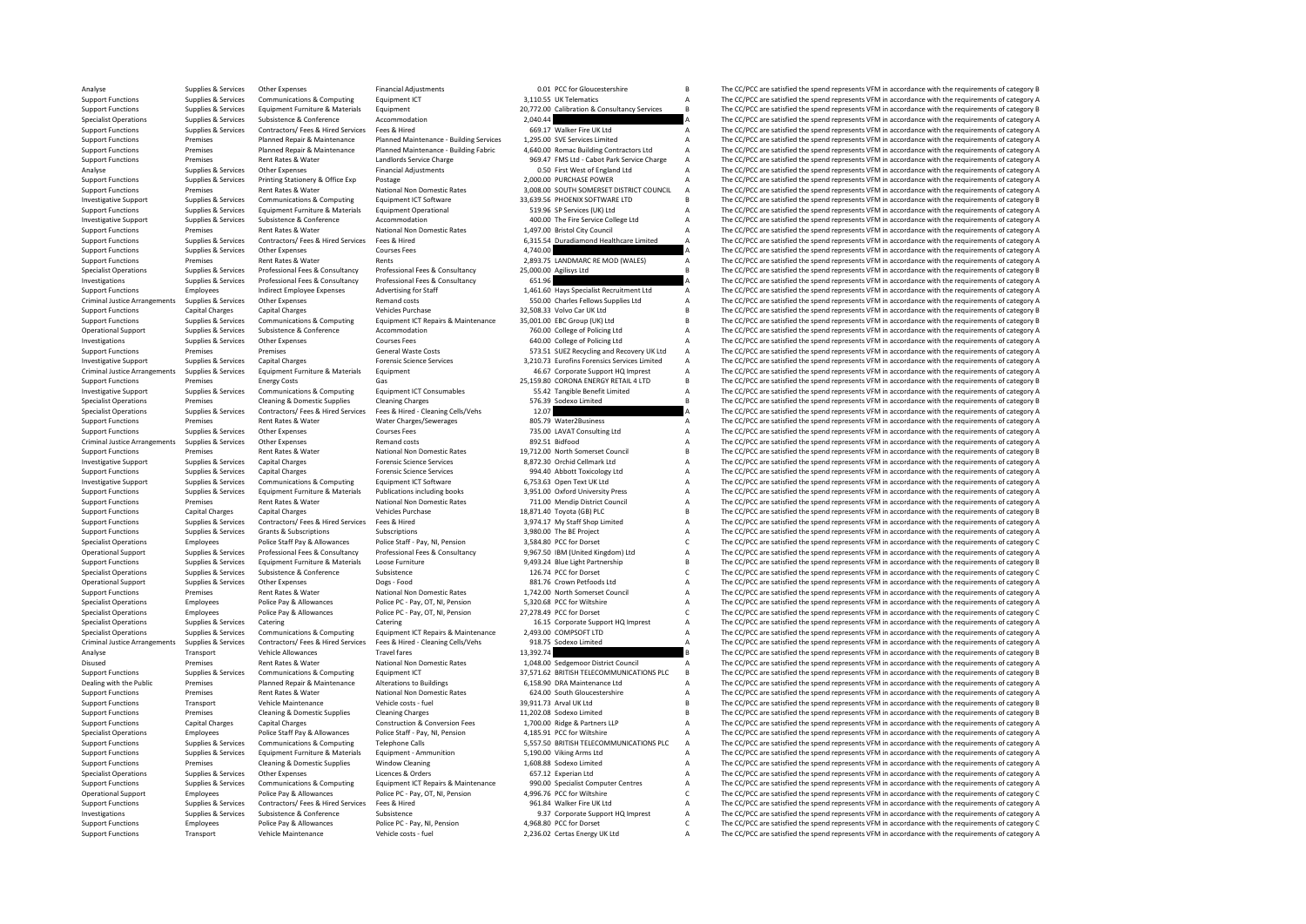Analyse Supplies Services Other Expenses Financial Adjustments 0.01 PCC for Gloucestershire B The CC/PCC are satisfied the spend represents VFM in accordance with the requirements of category B Supplies & Services Communic Support Functions Supplies & Services Communications & Computing Equipment ICT 3,110.55 UK Telematics A The CC/PCC are satisfied the spend represents VFM in accordance with the requirements of category A Support Functions Supplies & Services Equipment Furniture & Materials Equipment Supplies Equipment Curiomet Equipment Curiomet and the and the commodation and the commodation and the commodation and the commodation and the commodation and t Specialist Operations Supplies & Services Subsistence Subsistence Accommodation Accommodation and a subsistence Accommodation 2,040.44 A The CC/PCC are satisfied the spend represents VFM in accordance with the requirements Support Functions Supplies & Services Contractors/ Fees & Hired Services Fees & Hired Services Fees & Hired 669.17 Walker Fire UK Ltd A The CC/PCC are satisfied the spend represents VFM in accordance with the requirements of the contract of the contract of the contract of the contract of the contract of the contract of the contract of the contract of the contract of the contract of the contract of the contract of the contract of the contrac Support Functions Support Premises Planned Repair & Maintenance Planned Maintenance - Building Fabric 4,640.00 Romac Building Contractors Ltd A The CC/PCC are satisfied the spend represents VFM in accordance with the requi Support Functions Premises Rent Rates & Water Landlords Service Charge 969.47 FMS Ltd - Cabot Park Service Charge A The CC/PCC are satisfied the spend represents VFM in accordance with the requirements of category A Cabo P Other Expenses Financial Adjustments Company Analysis Company Company Company Company Company Company Company Company Company Company Company Company Company Company Company Company Company Company Company Company Company Support Functions Supplies & Services Printing Stationery & Office Exp Postage Postage Printing States Printing Stational Non Domestic Rates 2,000.00 PURCHASE POWER A The CC/PCC are satisfied the spend represents VFM in ac Support Functions Premises Rent Rates & Water National Non Domestic Rates 3,008.00 SOUTH SOMERSET DISTRICT COUNCIL A The CC/PCC are satisfied the spend represents VFM in accordance with the requirements of category A proce Investigative Support Supplies & Services Communications & Computing Equipment ICT Software 33,639.56 PHOENIX SOFTWARE LTD B The CC/PCC are satisfied the spend represents VFM in accordance with the requirements of category Support Functions Supplies & Services Equipment Functions Support Functions Support Equipment Functions Support Equipment Punctical Equipment Operational Equipment Operational 519.96 SP Services (UK) Ltd A The CC/PCC are s Investigative Support Supplies & Services Subsistence Subsistence Accommodation Accommodation 400.00 The Fire Service College Ltd A The CC/PCC are satisfied the spend represents VFM in accordance with the requirements of c Support Functions Premises Rent Rates & Water National Non Domestic Rates 1,497.00 Bristol City Council A The CC/PCC are satisfied the spend represents VFM in accordance with the requirements of category A<br>Support Function 6,315.54 Duradiamond Healthcare Limited A The CC/PCC are satisfied the spend represents VFM in accordance with the requirements of category A<br>A The CC/PCC are satisfied the spend represents VFM in accordance with the requi Support Functions Supplies & Services Other Expenses Courses Fees 4,740.00 A The CC/PCC are satisfied the spend represents VFM in accordance with the requirements of category A<br>Support Functions Premises Rent Rates & Water Support Functions Premises Rent Rates & Water Rents Rents Rents 2,893.75 LANDMARC RE MOD (WALES) A The CC/PCC are satisfied the spend represents VFM in accordance with the requirements of category B<br>Specialist Operations S Specialist Operations Supplies & Services Professional Fees & Consultancy Professional Fees & Consultancy Professional Fees & Consultancy 25,000.00 Agilisys Ltd Supplies The CC/PCC are satisfied the spend represents VFM in Professional Fees & Consultancy 651.96 6 651.96 A The CC/PCC are satisfied the spend represents VFM in accordance with the requirements of category A<br>A The CC/PCC are satisfied the spend represents VFM in accordance with t Support Functions Employees Indirect Employee Expenses Advertising for Staff 1,461.60 Hays Specialist Recruitment Ltd A The CC/PCC are satisfied the spend represents VFM in accordance with the requirements of category A Cr Criminal Justice Arrangements Supplies & Services Other Expenses Remand costs Remand costs Remand costs 550.00 Charles Fellows Supplies Ltd A The CC/PCC are satisfied the spend represents VFM in accordance with the require Support Functions Capital Charges Capital Charges Vehicles Purchase 32,508.33 Volvo Car UK Ltd B The CC/PCC are satisfied the spend represents VFM in accordance with the requirements of category B Support Functions Compuni Support Functions Supplies & Services Communications & Computing Equipment ICT Repairs & Maintenance 35,001.00 EBC Group (UK) Ltd B The CC/PCC are satisfied the spend represents VFM in accordance with the requirements of c Operational Support Supplies & Services Subsistence Subsistence Accommodation Accommodation 760.00 College of Policing Ltd A The CC/PCC are satisfied the spend represents VFM in accordance with the requirements of category Investigations Supplies & Services Other Expenses Courses Fees Courses Fees 640.00 College of Policing Ltd A The CC/PCC are satisfied the spend represents VFM in accordance with the requirements of category A Courses Cours Premises Premises Premises Support Functions Ceneral Waste Costs 573.51 SUEZ Recycling and Recovery UK Ltd A The CC/PCC are satisfied the spend represents VFM in accordance with the requirements of category A Services Cene Investigative Support Support Security Security of the Control of the Control of the Control of the Control of the Control of the Control of the Control of the Control of the Control of the Control of the Control of the Co Criminal Justice Arrangements Supplies & Services Equipment Furniture & Materials Equipment Equipment Equipment Equipment and the education of the COPCC are satisfied the spend represents VFM in accordance with the require Support Functions Premises Energy Costs Gas Costs Gas 25,159.80 CORONA ENERGY RETAIL 4 LTD B The CC/PCC are satisfied the spend represents VFM in accordance with the requirements of category B category B costs Communicatio Investigative Support Supplies & Services Communications & Computing Equipment ICT Consumables 55.42 Tangible Benefit Limited A The CC/PCC are satisfied the spend represents VFM in accordance with the requirements of category A Specialist Operations Premises Cleaning & Domestic Supplies Cleaning Charges 576.39 Sodexo Limited B The CC/PCC are satisfied the spend represents VFM in accordance with the requirements of category B Category B Contractor Specialist Operations Supplies A Service Contractors A The CC/PCC are satisfied the spend represents VFM in accordance with the requirements of category A The CC/PCC are satisfied the spend represents VFM in accordance wit Support Functions Premises Premises Rent Rates & Water Water Charges/Sewerages 805.79 Water2Business A The CC/PCC are satisfied the spend represents VFM in accordance with the requirements of category A Support Functions S Support Functions Support Functions Support Functions Supplies A The CC/PCC are satisfied the spend represents VFM in accordance with the requirements of category A The CC/PCC are satisfied the spend represents VFM in acc Criminal Justice Arrangements Supplies & Services Other Expenses Remand costs 892.51 Bidfood A The CC/PCC are satisfied the spend represents VFM in accordance with the requirements of category A Support Functions Premises Rent Rates & Water Mational Non Domestic Rates 19,712.00 North Somerset Council B The CC/PCC are satisfied the spend represents VFM in accordance with the requirements of category B The Scheme Se Investigative Support Supplies & Services Capital Charges Forensic Science Services 8,872.30 Orchid Cellmark Ltd A The CC/PCC are satisfied the spend represents VFM in accordance with the requirements of category A Support Support Functions Capital Charges Forensic Science Services Capital Charges Capital Charges Capital Charges Forensic Science Services Capital Charges Capital Charges Forensic Science Services 1994.40 Abbott Toxicology Ltd Investigative Support Supplies & Services Communications & Computing Equipment ICT Software 6,753.63 Open Text UK Ltd A The CC/PCC are satisfied the spend represents VFM in accordance with the requirements of category A Su Supplies & Services Equipment Furniture & Materials Publications including books and a service and the capacity Press Material on the CC/PCC are satisfied the spend represents VFM in accordance with the requirements of cat Support Functions Premises Rent Rates & Water National Non Domestic Rates 711.00 Mendip District Council A The CC/PCC are satisfied the spend represents VFM in accordance with the requirements of category A Vehicles Purcha Support Functions Capital Charges Capital Charges Vehicles Purchase Vehicles Purchase 18,871.40 Toyota (GB) PLC B The CC/PCC are satisfied the spend represents VFM in accordance with the requirements of category B<br>Sunnort Support Functions Support Functions Supplies Contractors/ Fees & Hired Services Fees & Hired Services Fees & Hired Services Tees & Hired 3,974.17 My Staff Shop Limited A The CC/PCC are satisfied the spend represents VFM in Support Functions Supplies & Services Grants & Subscriptions Subscriptions Subscriptions Subscriptions Subscriptions 3,980.00 The BE Project A The CC/PCC are satisfied the spend represents VFM in accordance with the requir Specialist Operations Employees Police Staff Pay & Allowances Police Staff - Pay, NI, Pension 3,584.80 PCC for Dorset C The CC/PCC are satisfied the spend represents VFM in accordance with the requirements of category C C Operational Support Supplies & Services Professional Fees & Consultancy Professional Fees & Consultancy 9,967.50 IBM (United Kingdom) Ltd A The CC/PCC are satisfied the spend represents VFM in accordance with the requireme Support Functions Supplies & Services Equipment Furniture & Materials Loose Furniture 19,493.24 Blue Light Partnership B The CC/PCC are satisfied the spend represents VFM in accordance with the requirements of category B S Specialist Operations Supplies & Services Subsistence Subsistence Subsistence Subsistence Subsistence Subsistence Subsistence C The CC/PCC are satisfied the spend represents VFM in accordance with the requirements of categ Other Expenses Dogs - Food 881.76 Crown Petfoods Ltd A The CC/PCC are satisfied the spend represents VFM in accordance with the requirements of category A<br>Rent Rates & Mater National Non Domestic Rates 1742.00 North Somers Support Functions Premises Rent Rates & Water National Non Domestic Rates 1,742.00 North Somerset Council A The CC/PCC are satisfied the spend represents VFM in accordance with the requirements of category A Satisfied the Specialist Operations Employees Police Pay & Allowances Police PC - Pay, OT, NI, Pension 5,320.68 PCC for Wiltshire A The CC/PCC are satisfied the spend represents VFM in accordance with the requirements of category C<br>Spec Specialist Operations Employees Police Pay & Allowances Police PC - Pay, OT, NI, Pension 27,278.49 PCC for Dorset C The CC/PCC are satisfied the spend represents VFM in accordance with the requirements of category C<br>Specia Specialist Operations Supplies & Services Catering Catering Catering Catering Catering Catering Catering Catering Catering Catering Catering Catering Catering Catering Catering Catering Catering Catering Catering Catering Specialist Operations Supplies & Services Communications & Computing Equipment ICT Repairs & Maintenance 2,493.00 COMPSOFT LTD A The CC/PCC are satisfied the spend represents VFM in accordance with the requirements of cate Criminal Justice Arrangements Supplies & Services Contractors/Fees & Hired Services Fees & Hired - Cleaning Cells/Vehs 918.75 Sodexo Limited Mark and The CC/PCC are satisfied the spend represents VFM in accordance with the Vehicle Allowances Travel fares Travel fares 13,392.74 B The CC/PCC are satisfied the spend represents VFM in accordance with the requirements of category B<br>Rent Rates Analyse Mational Non Domestic Rates 1,048.00 Sedgemoor Disused Premises Rent Rates & Water National Non Domestic Rates 1,048.00 Sedgemoor District Council A The CC/PCC are satisfied the spend represents VFM in accordance with the requirements of category A Support Functions Supplies & Services Communications & Computing Equipment ICT 37,571.62 BRITISH TELECOMMUNICATIONS PLC B The CC/PCC are satisfied the spend represents VFM in accordance with the requirements of category B<br> Dealing with the Public Premises Planned Repair & Maintenance Alterations to Buildings 6,158.90 DRA Maintenance Ltd A The CC/PCC are satisfied the spend represents VFM in accordance with the requirements of category A Supp The CC/PCC are satisfied the spend represents VFM in accordance with the requirements of category A Support Functions Transport Vehicle Maintenance Vehicle costs - fuel 39,911.73 Arval UK Ltd B The CC/PCC are satisfied the spend represents VFM in accordance with the requirements of category B Support Functions Support Functions Premises Cleaning & Domestic Supplies Cleaning Charges Charges 11,202.08 Sodexo Limited B The CC/PCC are satisfied the spend represents VFM in accordance with the requirements of categor Support Functions Capital Charges Capital Charges Construction & Conversion Fees 1,700.00 Ridge & Partners LLP A The CC/PCC are satisfied the spend represents VFM in accordance with the requirements of category A Specialis Specialist Operations Employees Police Staff Pay & Allowances Police Staff - Pay, NI, Pension 4,185.91 PCC for Wiltshire A The CC/PCC are satisfied the spend represents VFM in accordance with the requirements of category A Support Functions Supplies & Services Communications & Computing Telephone Calls 5,557.50 BRITISH TELECOMMUNICATIONS PLC A The CC/PCC are satisfied the spend represents VFM in accordance with the requirements of category A Supplies & Services Equipment Furniture & Materials Equipment - Ammunition 5,190.00 Viking Arms Ltd A The CC/PCC are satisfied the spend represents VFM in accordance with the requirements of category A<br>Premises Presents VF Support Functions Premises Cleaning & Domestic Supplies Window Cleaning 1,608.88 Sodexo Limited A The CC/PCC are satisfied the spend represents VFM in accordance with the requirements of category A Specialist Operations Su The CC/PCC are satisfied the spend represents VFM in accordance with the requirements of category A Support Functions Supplies & Services Communications & Computing Equipment ICT Repairs & Maintenance 990.00 Specialist Computer Centres A The CC/PCC are satisfied the spend represents VFM in accordance with the requirement Operational Support Employees Police Pay & Allowances Police PC - Pay, OT, NI, Pension 4,996.76 PCC for Wiltshire C The CC/PCC are satisfied the spend represents VFM in accordance with the requirements of category C Suppor The CC/PCC are satisfied the spend represents VFM in accordance with the requirements of category A Investigations Supplies Services Subsistence Subsistence Subsistence Subsistence Subsistence Subsistence Support HQ Imprest A The CC/PCC are satisfied the spend represents VFM in accordance with the requirements of categor Support Functions Employees Police Pay & Allowances Police PC Pay NI, Pension 4,068.80 PCC for Dorset C The CC/PCC are satisfied the spend represents VFM in accordance with the socuirements of category C Support Functions Transport Vehicle Maintenance Vehicle costs - fuel 2,236.02 Certas Energy UK Ltd A The CC/PCC are satisfied the spend represents VFM in accordance with the requirements of category A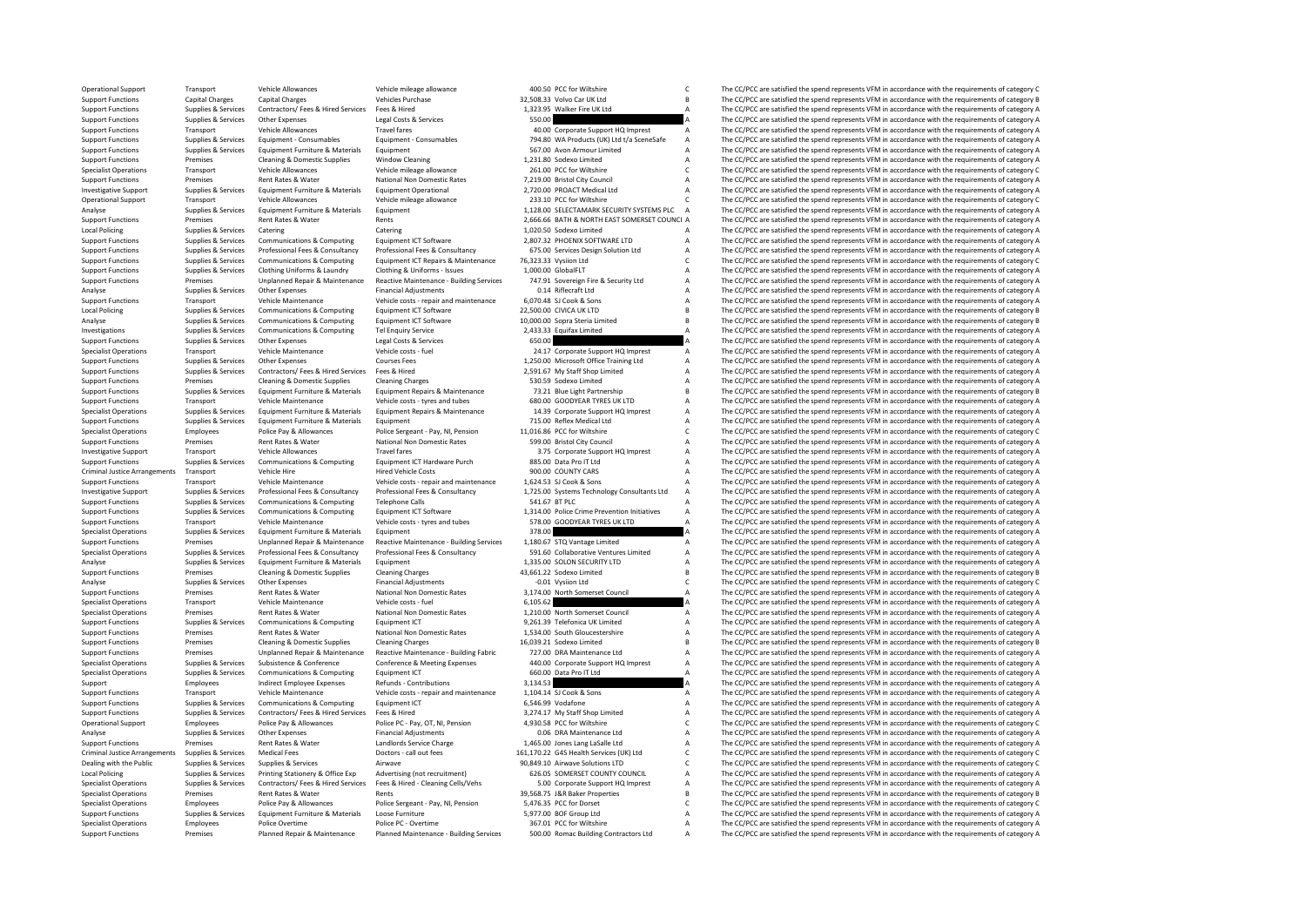Operational Support Transport Vehicle Allowances Vehicle Mileage allowance 400.50 PCC for Wiltshire C The CC/PCC are satisfied the spend represents VFM in accordance with the requirements of category C vehicle Purchase Veh Support Functions Capital Charges Capital Charges Vehicles Purchase Vehicles Purchase 32,508.33 Volvo Car UK Ltd B The CC/PCC are satisfied the spend represents VFM in accordance with the requirements of category B Support Support Functions Supplies & Services Contractors/ Fees & Hired Services Fees & Hired Services Fees & Hired 1,323.95 Walker Fire UK Ltd A The CC/PCC are satisfied the spend represents VFM in accordance with the requirement Support Functions Supplies & Services Other Expenses Legal Costs & Services Services Support Content Costs and Content Costs and Content of Costs and Content of Costs and Content of Costs and Content of Costs and Content o Support Functions Transport Corporate Travel fares Travel fares and the support HQ Imprest A The CC/PCC are satisfied the spend represents VFM in accordance with the requirements of category A<br>Support Functions Supplies & Support Functions Supplies & Services Equipment Consumables Equipment Consumables Equipment Consumables Equipment Consumables and the metal of the CONSULT CONSULT ALL The COPC are satisfied the spend represents VFM in acco Support Functions Supplies & Services Equipment Furniture & Materials Equipment Functions Equipment Equipment 567.00 Avon Armour Limited A The CC/PCC are satisfied the spend represents VFM in accordance with the requiremen Support Functions Premises Cleaning & Domestic Supplies Window Cleaning Window Cleaning 1,231.80 Sodexo Limited A The CC/PCC are satisfied the spend represents VFM in accordance with the requirements of category A Conditio Vehicle Allowance Vehicle mileage allowance 261.00 PCC for Wiltshire C The CC/PCC are satisfied the spend represents VFM in accordance with the requirements of category C are accorded the spend represents VFM in accordance Support Functions Premises Rent Rates & Water National Non Domestic Rates 7,219.00 Bristol City Council A The CC/PCC are satisfied the spend represents VFM in accordance with the requirements of category A Investigative Su Investigative Support Supplies & Services Equipment Furniture & Materials Equipment Operational and a 2,720.00 PROACT Medical Ltd A The CC/PCC are satisfied the spend represents VFM in accordance with the requirements of c Transport Vehicle Allowances Vehicle mileage allowance 233.10 PCC for Wiltshire C The CC/PCC are satisfied the spend represents VFM in accordance with the requirements of category C and the requirements of category C and t Analyse Supplies & Services Equipment Furniture & Materials Equipment 1,128.00 SELECTAMARK SECURITY SYSTEMS PLC A The CC/PCC are satisfied the spend represents VFM in accordance with the requirements of category A<br>Supplies Support Functions Premises Rent Rates & Water Rents Rents Rents Rents Rents 2,666.66 BATH & NORTH EAST SOMERSET COUNCI A The CC/PCC are satisfied the spend represents VFM in accordance with the requirements of category A L Local Policing Supplies A Services Catering Catering Catering Supplies & Services Catering Catering Catering Catering Catering 1,020.50 Sodexo Limited A The CC/PCC are satisfied the spend represents VFM in accordance with Support Functions Support Functions Supplies and the Support Functions Equipment ICT Software 2,807.32 PHOENIX SOFTWARE LTD A The CC/PCC are satisfied the spend represents VFM in accordance with the requirements of categor Support Functions Supplies & Services Professional Fees & Consultancy Professional Fees & Consultancy Consultancy 675.00 Services Design Solution Ltd A The CC/PCC are satisfied the spend represents VFM in accordance with t Support Functions Supplies & Services Communications & Computing Equipment ICT Repairs & Maintenance 76,323.33 Vysiion Ltd C The CC/PCC are satisfied the spend represents VFM in accordance with the requirements of category Support Functions Supplies & Services Clothing Uniforms & Laundry Clothing & Uniforms - Issues 1,000.00 GlobalFLT A The CC/PCC are satisfied the spend represents VFM in accordance with the requirements of category A Suppor Premises Unplanned Repair & Maintenance Reactive Maintenance - Building Services 747.91 Sovereign Fire & Security Ltd A The CC/PCC are satisfied the spend represents VFM in accordance with the requirements of category A Su Analyse Supplies & Services Other Expenses Financial Adjustments Contained A CONTAGE CONTAGE CONTAGE CONTAGE CONTAGE CONTAGERATION A The CC/PCC are satisfied the spend represents VFM in accordance with the requirements of Support Functions Transport Vehicle Maintenance Vehicle costs - repair and maintenance 6,070.48 SJ Cook & Sons A The CC/PCC are satisfied the spend represents VFM in accordance with the requirements of category A Coronal C Local Policing Supplies & Services Communications & Computing Equipment ICT Software 22,500.00 CIVICA UK LTD B The CC/PCC are satisfied the spend represents VFM in accordance with the requirements of category B<br>Supplies & Analyse Supplies & Services Communications & Computing Equipment ICT Software 10,000.00 Sopra Steria Limited B The CC/PCC are satisfied the spend represents VFM in accordance with the requirements of category B Supplies & Investigations Supplies & Services Communications & Computing Tel Enquiry Service 2,433.33 Equifax Limited A The CC/PCC are satisfied the spend represents VFM in accordance with the requirements of category A Computing a T Support Functions Supplies & Services Other Expenses Legal Costs & Services Center Services Center Costs A The CC/PCC are satisfied the spend represents VFM in accordance with the requirements of category A Center Center C Transport Vehicle Maintenance Vehicle costs - fuel 24.17 Corporate Support HQ Imprest A The CC/PCC are satisfied the spend represents VFM in accordance with the requirements of category A Courses Fees 1250.00 Microsoft Off Support Functions Supplies & Services Other Expenses Courses Courses Courses Courses Courses Fees 1,250.00 Microsoft Office Training Ltd A The CC/PCC are satisfied the spend represents VFM in accordance with the requiremen Support Functions Supplies & Services Contractors/ Fees & Hired Services Fees & Hired 2,591.67 My Staff Shop Limited A The CC/PCC are satisfied the spend represents VFM in accordance with the requirements of category A Sup Support Functions Premises Cleaning & Domestic Supplies Cleaning Charges Cleaning Charges Changes Charges 530.59 Sodexo Limited A The CC/PCC are satisfied the spend represents VFM in accordance with the requirements of cat Equipment Furniture & Materials Equipment Repairs & Maintenance and the case of the CC/PCC are satisfied the spend represents VFM in accordance with the requirements of category B<br>Vehicle Maintenance Vehicle costs - tyres Support Functions Transport Vehicle Maintenance Vehicle costs - tyres and tubes 680.00 GOODYEAR TYRES UK LTD A The CC/PCC are satisfied the spend represents VFM in accordance with the requirements of category A Support Cat The CC/PCC are satisfied the spend represents VEM in accordance with the requirements of category A Support Functions Supplies & Services Equipment Furniture & Materials Equipment Furniture & Materials Equipment 1 Equipment 715.00 Reflex Medical Ltd A The CC/PCC are satisfied the spend represents VFM in accordance with t Police Pay & Allowances Police Sergeant - Pay, NI, Pension 11,016.86 PCC for Wiltshire C The CC/PCC are satisfied the spend represents VFM in accordance with the requirements of category C and the requirements of category Support Functions Premises Rent Rates Rulater National Non Domestic Rates 599.00 Bristol City Council A The CC/PCC are satisfied the spend represents VFM in accordance with the requirements of category A Investigative Support Transport Vehicle Allowances Travel fares Travel fares 3.75 Corporate Support HQ Imprest A The CC/PCC are satisfied the spend represents VFM in accordance with the requirements of category A Support H Support Functions Supplies & Services Communications & Computing Equipment ICT Hardware Purch 885.00 Data Pro IT Ltd A The CC/PCC are satisfied the spend represents VFM in accordance with the requirements of category A Cri Transport Vehicle Hire Arrangements of category Arrangements of category Arrangements of category A The CC/PCC are satisfied the spend represents VFM in accordance with the requirements of category A<br>The CC/PCC are satisfi Support Functions Transport Vehicle Maintenance Vehicle costs - repair and maintenance 1,624.53 SJ Cook & Sons A The CC/PCC are satisfied the spend represents VFM in accordance with the requirements of category A Investiga Investigative Support Supplies & Services Professional Fees & Consultancy Professional Fees & Consultancy Consultancy 1,725.00 Systems Technology Consultants Ltd A The CC/PCC are satisfied the spend represents VFM in accor Supplies & Services Communications & Computing Telephone Calls 541.67 BTPLC Support Telephone Calls 541.67 BTPLC A The CC/PCC are satisfied the spend represents VFM in accordance with the requirements of category A<br>Supplie Support Functions Supplies & Services Communications & Computing Equipment ICT Software 1,314.00 Police Crime Prevention Initiatives A The CC/PCC are satisfied the spend represents VFM in accordance with the requirements o Vehicle Maintenance Vehicle costs - tyres and tubes 578.00 GOODYEAR TYRES UK LTD A The CC/PCC are satisfied the spend represents VFM in accordance with the requirements of category A 378.00 ST8.00 GOODYEAR TYRES UK LTD A T Specialist Operations Supplies & Services Equipment Furniture & Materials Equipment Equipment Equipment Specialist and the CC/PCC are satisfied the spend represents VFM in accordance with the requirements of category A Spe Support Functions Premises Duplanned Repair & Maintenance Reactive Maintenance - Building Services 1,180.67 STQ Vantage Limited A The CC/PCC are satisfied the spend represents VFM in accordance with the requirements of cat Supplies & Services Professional Fees & Consultancy Professional Fees & Consultancy Consultancy Consultancy Supplies & Services in The CC/PCC are satisfied the spend represents VFM in accordance with the requirements of ca Analyse Supplies Analyse Services Equipment Furniture & Materials Equipment Equipment 1,335.00 SOLON SECURITY LTD A The CC/PCC are satisfied the spend represents VFM in accordance with the requirements of category B<br>Suppor Externises Cleaning & Domestic Supplies Cleaning Charges Cleaning Charges 43,661.22 Sodexo Limited B The CC/PCC are satisfied the spend represents VFM in accordance with the requirements of category B Contained Supplies Fi Analyse Supplies & Services Other Expenses Financial Adjustments Contributions -0.01 Vysiion Ltd C The CC/PCC are satisfied the spend represents VFM in accordance with the requirements of category C C The CC/PCC are satisf Support Functions Premises Rent Rates & Water National Non Domestic Rates 3,174.00 North Somerset Council A The CC/PCC are satisfied the spend represents VFM in accordance with the requirements of category A Specialist Ope Specialist Operations Transport Vehicle Maintenance Vehicle costs - fuel vehicle costs - fuel 6,105.62 A The CC/PCC are satisfied the spend represents VFM in accordance with the requirements of category A<br>Specialist Operat Specialist Operations Premises Rent Rates & Water National Non Domestic Rates 1,210.00 North Somerset Council A The CC/PCC are satisfied the spend represents VFM in accordance with the requirements of category A<br>Support Fu Communications & Computing Equipment ICT 9,261.39 Telefonica UK Limited A The CC/PCC are satisfied the spend represents VFM in accordance with the requirements of category A Descriptions and the requirements of category A Support Functions Premises Rent Rates & Water National Non Domestic Rates 1,534.00 South Gloucestershire A The CC/PCC are satisfied the spend represents VFM in accordance with the requirements of category A Support Functio Support Functions Support Premises Cleaning & Domestic Supplies Cleaning Charges 16,039.21 Sodexo Limited B The CC/PCC are satisfied the spend represents VFM in accordance with the requirements of category B<br>Support Functi Support Functions Premises Unplanned Repair & Maintenance Reactive Maintenance - Building Fabric 727.00 DRA Maintenance Ltd A The CC/PCC are satisfied the spend represents VFM in accordance with the requirements of categor Supplies & Services Subsistence & Conference Conference Conference Meeting Expenses 440.00 Corporate Support HQ Imprest A The CC/PCC are satisfied the spend represents VFM in accordance with the requirements of category A<br> Specialist Operations Supplies & Services Communications & Computing Equipment ICT 660.00 Data Pro IT Ltd A The CC/PCC are satisfied the spend represents VFM in accordance with the requirements of category A Services are a Support Employees Indirect Employee Refunds Contributions 3,134.53 A The CC/PCC are satisfied the spend represents VFM in accordance with the requirements of category A<br>Support Functions Transport Vehicle Maintenance Vehic The CC/PCC are satisfied the spend represents VFM in accordance with the requirements of category A Support Functions Supplies & Services Communications & Computing Faulty Functions Computing Faulty Functions Computing Functions Computing Functions 6,546.99 Vodafone A The CC/PCC are satisfied the spend represents VFM in Support Functions Supplies & Services Contractors/ Fees & Hired Services Fees & Hired Services Pelice PC Pay, OT, NI, Pension 3,274.17 My Staff Shop Limited A The CC/PCC are satisfied the spend represents VFM in accordance Operational Support Employees Police Pay & Allowances Police PC - Pay, OT, NI, Pension 4,930.58 PCC for Wiltshire C The CC/PCC are satisfied the spend represents VFM in accordance with the requirements of category C The Cr Analyse Supplies Services Other Expenses Financial Adjustments Concernents Concernent Concernent Concernent Concernent Concernent Concernent of category A The CC/PCC are satisfied the spend represents VFM in accordance wit Support Functions Premises Rent Rates & Water Landlords Service Charge 1,465.00 Jones Lang LaSalle Ltd A The CC/PCC are satisfied the spend represents VFM in accordance with the requirements of category A Criminal Justice Arrangements Supplies & Services Medical Fees Boctors - call out fees 161,170.22 G45 Health Services (UK) Ltd C The CC/PCC are satisfied the spend represents VFM in accordance with the requirements of cate Dealing with the Public Supplies & Services Supplies & Services Airwave Airwave Airwave Supplies Airwave Solutions Airwave Solutions LTD C The CC/PCC are satisfied the spend represents VFM in accordance with the requiremen The CC/PCC are satisfied the spend represents VFM in accordance with the requirements of category A Specialist Operations Supplies & Services Contractors/ Fees & Hired Services Fees & Hired - Cleaning Cells/Vehs 5.00 Corporate Support HQ Imprest A The CC/PCC are satisfied the spend represents VFM in accordance with the requirements of category A Specialist Operations Premises Rent Rates & Water Rents Rents Rents and Rents and Decision and the Spend represent are additional and the CC/PCC are satisfied the spend represents VFM in accordance with the requirements of C The CC/PCC are satisfied the spend represents VFM in accordance with the requirements of category C Support Functions Supplies & Services Equipment Functions & Materials Loose Furniture & Materials Loose Functions Functions and The CC/PCC are satisfied the spend represents VFM in accordance with the requirements of categ Specialist Operations Employees Police Overtime Police PC Overtime 367.01 PCC for Wilkshire A The CC/PCC are satisfied the spend represents VFM in accordance with the socurirements of category A Support Functions Premises Planned Repair & Maintenance Planned Maintenance Building Services 500.00 Romac Building Contractors Ltd A The CC/PCC are satisfied the spend represents VFM in accordance with the requirements of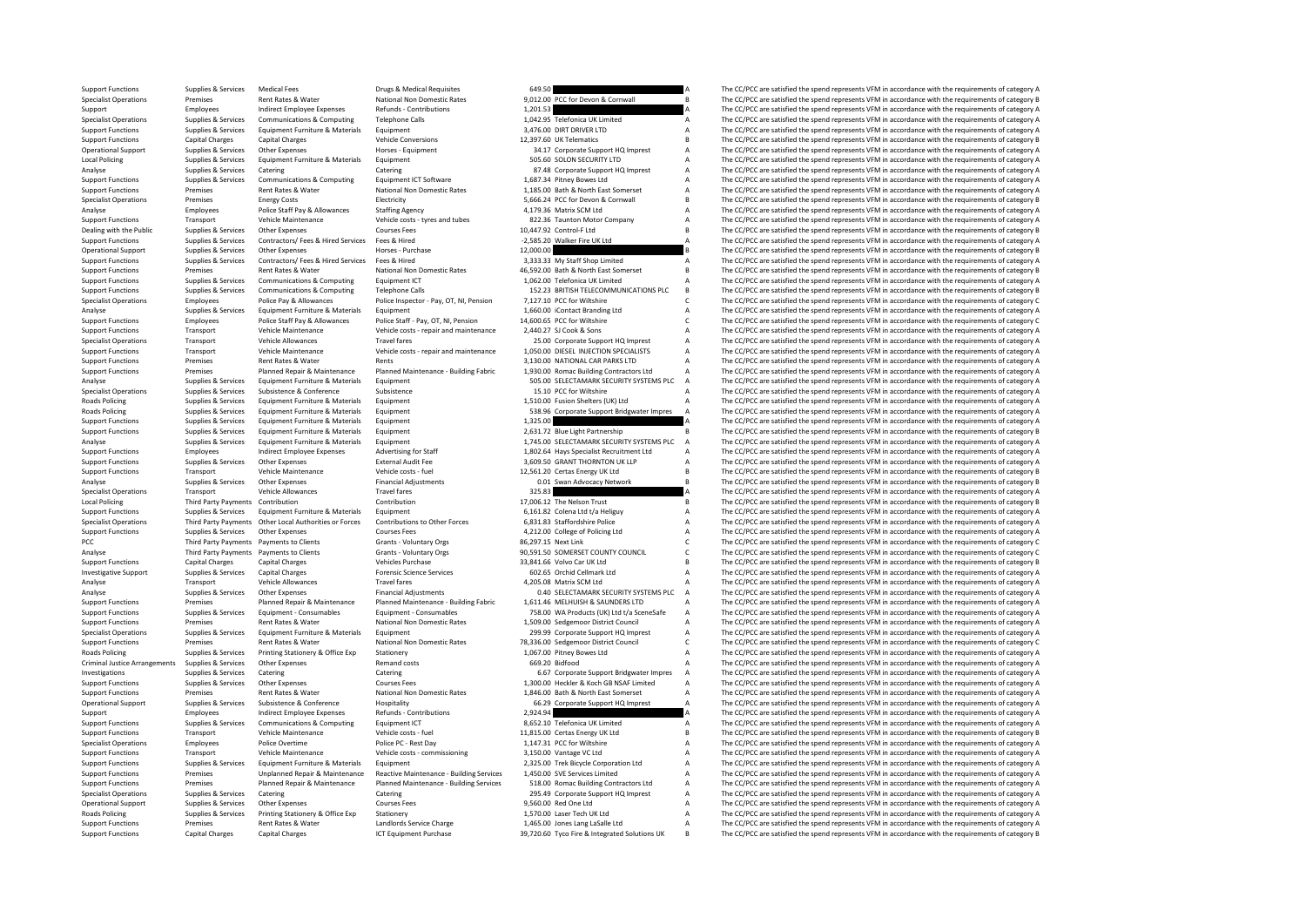Support Functions Supplies & Services Medical Fees Drugs & Medical Requisites 649.50 649.50 A The CC/PCC are satisfied the spend represents VFM in accordance with the requirements of category A Drugs & Medical Requiries Ma Specialist Operations Premises Rent Rates & Water National Non Domestic Rates 9,012.00 PCC for Devon & Cornwall B The CC/PCC are satisfied the spend represents VFM in accordance with the requirements of category B<br>Support Support Employees Indirect Employee Expenses Refunds Contributions 1,201.53 A The CC/PCC are satisfied the spend represents VFM in accordance with the requirements of category A<br>Specialist Operations Supplies & Services Co Specialist Operations Supplies & Services Communications & Computing Telephone Calls 1,042.95 Telefonica UK Limited A The CC/PCC are satisfied the spend represents VFM in accordance with the requirements of category A Supp Support Functions Supplies & Services Equipment Furniture & Materials Equipment Support Equipment Support Equipment Support Equipment Support Equipment Support Equipment Support Equipment Support Equipment Support DRIVER L Support Functions Capital Charges Capital Charges Vehicle Conversions Vehicle Conversions 12,397.60 UK Telematics B The CC/PCC are satisfied the spend represents VFM in accordance with the requirements of category B The Cr Operational Support Supplies & Services Other Expenses Horses - Equipment Horses - Equipment 34.17 Corporate Support HQ Imprest A The CC/PCC are satisfied the spend represents VFM in accordance with the requirements of cat Local Policing Supplies & Services Equipment Furniture & Materials Equipment Equipment Supplies & Services Equipment Equipment Supplies & Services Category A SOS.60 SOLON SECURITY LTD A The CC/PCC are satisfied the spend r Catering Catering Catering Catering Catering Catering Catering Catering Catering Catering Catering Catering Catering Catering Catering Catering Catering Catering Catering Catering Catering Catering Catering Catering Cateri Support Functions Supplies & Services Communications & Computing Equipment ICT Software 1,687.34 Pitney Bowes Ltd A The CC/PCC are satisfied the spend represents VFM in accordance with the requirements of category A Suppor Support Functions Premises Rent Rates & Water National Non Domestic Rates 1,185.00 Bath & North East Somerset A The CC/PCC are satisfied the spend represents VFM in accordance with the requirements of category A Electricit Premises Energy Costs Electricity Electricity 5,666.24 PCC for Devon & Cornwall B The CC/PCC are satisfied the spend represents VFM in accordance with the requirements of category B and the requirements of category B and t Analyse Employees Police Staff Pay & Allowances Staffing Agency 4,179.36 Matrix SCM Ltd A The CC/PCC are satisfied the spend represents VFM in accordance with the requirements of category A S22.36 Taunton Motor Company A T Support Functions Transport Vehicle Maintenance Vehicle costs - tyres and tubes 822.36 Taunton Motor Company A The CC/PCC are satisfied the spend represents VFM in accordance with the requirements of category B<br>Dealing wit Dealing with the Public Supplies & Services Other Expenses Courses Fees Courses Fees 10,447.92 Control-F Ltd B The CC/PCC are satisfied the spend represents VFM in accordance with the requirements of category B<br>Supplies Su Support Functions Support Functions Supplies A The CC/PCC are satisfied the spend represents VFM in accordance with the requirements of category A The CC/PCC are satisfied the spend represents VFM in accordance with the re Operational Supplies Other Expenses Other Expenses Horses - Purchase Horses - Purchase 12,000.00 and the CC/PCC are satisfied the spend represents VFM in accordance with the requirements of category B Satisfied the Support Support Functions Supplies & Services Contractors/ Fees & Hired Services Fees & Hired Bervices Fees & Hired Manning Provectic Rates 3,333.33 My Staff Shop Limited A The CC/PCC are satisfied the spend represents VFM in acco Support Functions Premises Rent Rates & Water National Non Domestic Rates 46,592.00 Bath & North East Somerset B The CC/PCC are satisfied the spend represents VFM in accordance with the requirements of category B<br>Support F Communications & Computing Equipment ICT examples Computing Communications Communications & Computing Equipment ICT 1,062.00 Telefonica UK Limited A The CC/PCC are satisfied the spend represents VFM in accordance with the Support Functions Supplies & Services Communications & Computing Telephone Calls 152.23 BRITISH TELECOMMUNICATIONS PLC B The CC/PCC are satisfied the spend represents VFM in accordance with the requirements of category C<br>S Specialist Operations Employees Police Pay & Allowances Police Inspector - Pay, OT, NI, Pension 7,127.10 PCC for Wiltshire C The CC/PCC are satisfied the spend represents VFM in accordance with the requirements of category Analyse Supplies Services Equipment Furniture & Materials Equipment Equipment 1,660.00 iContact Branding Ltd A The CC/PCC are satisfied the spend represents VFM in accordance with the requirements of category A Support Fun Support Functions Employees Police Staff Pay & Allowances Police Staff - Pay, OT, NI, Pension 14,600.65 PCC for Wiltshire C The CC/PCC are satisfied the spend represents VFM in accordance with the requirements of category Support Functions Transport Vehicle Maintenance Vehicle costs - repair and maintenance 2,440.27 SJ Cook & Sons A The CC/PCC are satisfied the spend represents VFM in accordance with the requirements of category A The CC/PC Specialist Operations Transport Vehicle Allowances Travel fares 25.00 Corporate Support HQ Imprest A The CC/PCC are satisfied the spend represents VFM in accordance with the requirements of category A Support HQ Imprest A Vehicle Maintenance Vehicle costs - repair and maintenance 1,050.00 DIESEL INJECTION SPECIALISTS A The CC/PCC are satisfied the spend represents VFM in accordance with the requirements of category A<br>Rent Rants Water Rents Support Functions Support Rent Rent Rents Rents Rents 3,130.00 NATIONAL CAR PARKS LTD A The CC/PCC are satisfied the spend represents VFM in accordance with the requirements of category A Support Functions Planned Repair & Maintenance Planned Maintenance Building Fabric 1,930.00 Romac Building Contractors Ltd A The CC/PCC are satisfied the spend represents VFM in accordance with the requirements of category Analyse Supplies & Services Equipment Furniture & Materials Equipment<br>
Services Supplies & Services Subsistence Subsistence Subsistence Subsistence Subsistence Subsistence Subsistence Subsistence Subsistence and the CC/PCC Subsistence Subsistence Subsistence Subsistence Subsistence CONFERENCE THE CONFERENCE THE CONFERENCE CONFERENCE THE CONFERENCE A The CC/PCC are satisfied the spend represents VFM in accordance with the requirements of cate Roads Policing Supplies & Services Equipment Furniture & Materials Equipment 1,510.00 Fusion Shelters (UK) Ltd A The CC/PCC are satisfied the spend represents VFM in accordance with the requirements of category A Raterials Folicing Policing Support Support Bridgwater Impres A The CC/PCC are satisfied the spend represents VFM in accordance with the requirements of category A Support Functions Supplies & Services Equipment Functions Addenials Equipment 1,325.00 1,325.00 A The CC/PCC are satisfied the spend represents VFM in accordance with the requirements of category B<br>Support Functions Suppli Support Functions Support Functions Support Functions Support Functions Accordance With the American Category B The CC/PCC are satisfied the spend represents VFM in accordance with the requirements of category B The CC/PCC Analyse Supplies & Services Equipment Furniture & Materials Equipment Equipment 1,745.00 SELECTAMARK SECURITY SYSTEMS PLC A The CC/PCC are satisfied the spend represents VFM in accordance with the requirements of category Support Functions Employees Indirect Employee Expenses Advertising for Staff 1,802.64 Hays Specialist Recruitment Ltd A The CC/PCC are satisfied the spend represents VFM in accordance with the requirements of category A Su Support Functions Supplies & Services Other Expenses External Audit Fee 3,609.50 GRANT THORNTON UK LLP A The CC/PCC are satisfied the spend represents VFM in accordance with the requirements of category A Support Fransport Transport Vehicle Maintenance Vehicle costs - fuel Vehicle costs - fuel Vehicle costs - fuel Vehicle costs - fuel Vehicle costs - fuel 12,561.20 Certas Energy UK Ltd B The CC/PCC are satisfied the spend represents VFM in a Analyse Supplies & Services Other Expenses Financial Adjustments 0.01 Swan Advocacy Network B The CC/PCC are satisfied the spend represents VFM in accordance with the requirements of category B Category B Travel fares Trav Specialist Operations Transport Vehicle Allowances Travel fares Travel fares 325.83 A The CC/PCC are satisfied the spend represents VFM in accordance with the requirements of category A Contribution Contribution Contributi Local Policing Third Party Payments Contribution Contribution Contribution Contribution Contribution Contribution Contribution 17,006.12 The Nelson Trust B The CC/PCC are satisfied the spend represents VFM in accordance wi Support Functions Supplies & Services Equipment Furniture & Materials Equipment Equipment 6,161.82 Colena Ltd t/a Heliguy A The CC/PCC are satisfied the spend represents VFM in accordance with the requirements of category 6,831.83 Staffordshire Police<br>4,212.00 College of Policing Ltd **A** The CC/PCC are satisfied the spend represents VFM in accordance with the requirements of category A<br>4,212.00 College of Policing Ltd **A** The CC/PCC are sat Support Functions Supplies & Services Other Expenses Courses Fees 4,212.00 College of Policing Ltd A The CC/PCC are satisfied the spend represents VFM in accordance with the requirements of category A Craig and Courses Cou Third Party Payments Payments to Clients Grants Crants Voluntary Orgs 86,297.15 Next Link C The CC/PCC are satisfied the spend represents VFM in accordance with the requirements of category C are satisfied the spend repres Analyse Third Party Payments Payments to Clients Grants - Voluntary Orgs 90,591.50 SOMERSET COUNTY COUNCIL C The CC/PCC are satisfied the spend represents VFM in accordance with the requirements of category C verides Purch Support Functions Capital Charges Capital Charges Vehicles Purchase Vehicles Purchase 33,841.66 Volvo Car UK Ltd B The CC/PCC are satisfied the spend represents VFM in accordance with the requirements of category B The Cre Capital Charges Support Support Support Support Support Supplies Capital Charges Capital Charges Forence Support Support Support Support Support Supplies A The CC/PCC are satisfied the spend represents VFM in accordance wi Analyse Transport Vehicle Allowances Travel fares Travel fares 4,205.08 Matrix SCM Ltd A The CC/PCC are satisfied the spend represents VFM in accordance with the requirements of category A The School of the spend represent Analyse Supplies & Services Other Expenses Financial Adjustments Contact Dealer CONTENT DANK SECURITY SYSTEMS PLC A The CC/PCC are satisfied the spend represents VFM in accordance with the requirements of category A Suppli Experiment Support Functions of the CC/PCC are satisfied the spend represents VFM in accordance with the requirements of category A Planned Repair & Maintenance Planned Maintenance - Building Fabric 1,611.46 MELHUISH & SAU Supplies & Services Equipment Consumables Equipment Consumables Equipment Consumables and the metal of the CC/PC are satisfied the spend represents VFM in accordance with the requirements of category A<br>Support Functions Pr Support Functions Premises Rent Rates & Water National Non Domestic Rates 1,509.00 Sedgemoor District Council A The CC/PCC are satisfied the spend represents VFM in accordance with the requirements of category A Support Te  $\sum_{n=1}^{\infty}$  Supplies & Services Equipment Furniture & Materials Equipment 299.99.09 Corporate Support HQ Imprest A The CC/PCC are satisfied the spend represents VFM in accordance with the requirements of category A Support Functions Premises Rent Rates & Water National Non Domestic Rates 78,336.00 Sedgemoor District Council C The CC/PCC are satisfied the spend represents VFM in accordance with the requirements of category C Stategory Roads Policing Supplies & Services Printing Stationery & Office Exp Stationery Stationery Stationery and roots<br>
Criminal lustice Arrangements Sunniles & Services Other Expenses Office Exp Remand costs and a Service of Cate Criminal Supplies & Services Other Expenses Criminal Criminal Criminal Criminal Criminal Criminal Criminal Criminal Criminal Criminal Criminal Criminal Criminal Criminal Criminal Criminal Criminal Criminal Criminal Crimina Investigations Supplies & Services Catering Catering Catering Catering Catering Catering Catering Catering Catering a Services Catering Catering Catering a Services Catering Catering Catering Catering a Support Bridgwater Support Functions Supplies & Services Other Expenses Courses Fees Courses Fees 1,300.00 Heckler & Koch GB NSAF Limited A The CC/PCC are satisfied the spend represents VFM in accordance with the requirements of category A<br>S The CC/PCC are satisfied the spend represents VFM in accordance with the requirements of category A Operational Support Support Support Subsistence Hospitality 66.29 Corporate Hospitality 66.29 Corporate A The CC/PCC are satisfied the spend represents VFM in accordance with the requirements of category A The CC/PCC are s Support Employees Indirect Employee Expenses Refunds-Contributions 2,924.94 A The CC/PCC are satisfied the spend represents VFM in accordance with the requirements of category A<br>Support Functions Supplies & Services Commun Support Functions Supplies & Services Communications & Computing Equipment ICT 8,652.10 Telefonica UK Limited A The CC/PCC are satisfied the spend represents VFM in accordance with the requirements of category A The CC/PC Support Functions Transport Vehicle Maintenance Vehicle costs - fuel 11,815.00 Certas Energy UK Ltd B The CC/PCC are satisfied the spend represents VFM in accordance with the requirements of category B<br>Specialist Operation Police PC - Rest Day interest Orientations Corrections 1,147.31 PCC for Wiltshire A The CC/PCC are satisfied the spend represents VFM in accordance with the requirements of category A The CC/PCC are satisfied the spend rep Support Functions Transport Vehicle Maintenance Vehicle costs - commissioning 3,150.00 Vantage VC Ltd A The CC/PCC are satisfied the spend represents VFM in accordance with the requirements of category A Support Functions Support Functions Supplies & Services Equipment Furniture & Materials Equipment Equipment 2,325.00 Trek Bicycle Corporation Ltd A The CC/PCC are satisfied the spend represents VFM in accordance with the requirements of cat Premises Unplanned Repair & Maintenance Reactive Maintenance - Building Services 1,450.00 SVE Services Limited The CC/PCC are satisfied the spend represents VFM in accordance with the requirements of category A Support Functions Premises Premises Planned Repair & Maintenance Planned Maintenance - Building Services 518.00 Romac Building Contractors Ltd A The CC/PCC are satisfied the spend represents VFM in accordance with the requ Specialist Operations Supplies & Services Catering Catering Catering Catering Catering Catering Catering Catering Catering Catering 295.49 Corporate Support HQ Imprest A The CC/PCC are satisfied the spend represents VFM in The CC/PCC are satisfied the spend represents VFM in accordance with the requirements of category A Roads Policing Supplies & Services Printing Stationery & Office Exp Stationery & Office Exp Stationery A The CC/PCC are satisfied the spend represents VFM in accordance with the requirements of category A The CC/PCC are sa Support Functions Premises Rent Rates & Water Landlords Service Charge 1,465.00 Jones Lang LaSalle Ltd A The CC/PCC are satisfied the spend represents VFM in accordance with the requirements of category B<br>Support Functions Support Functions Capital Charges Capital Charges ICT Equipment Purchase 39,720.60 Tyco Fire & Integrated Solutions UK B The CC/PCC are satisfied the spend represents VFM in accordance with the requirements of category B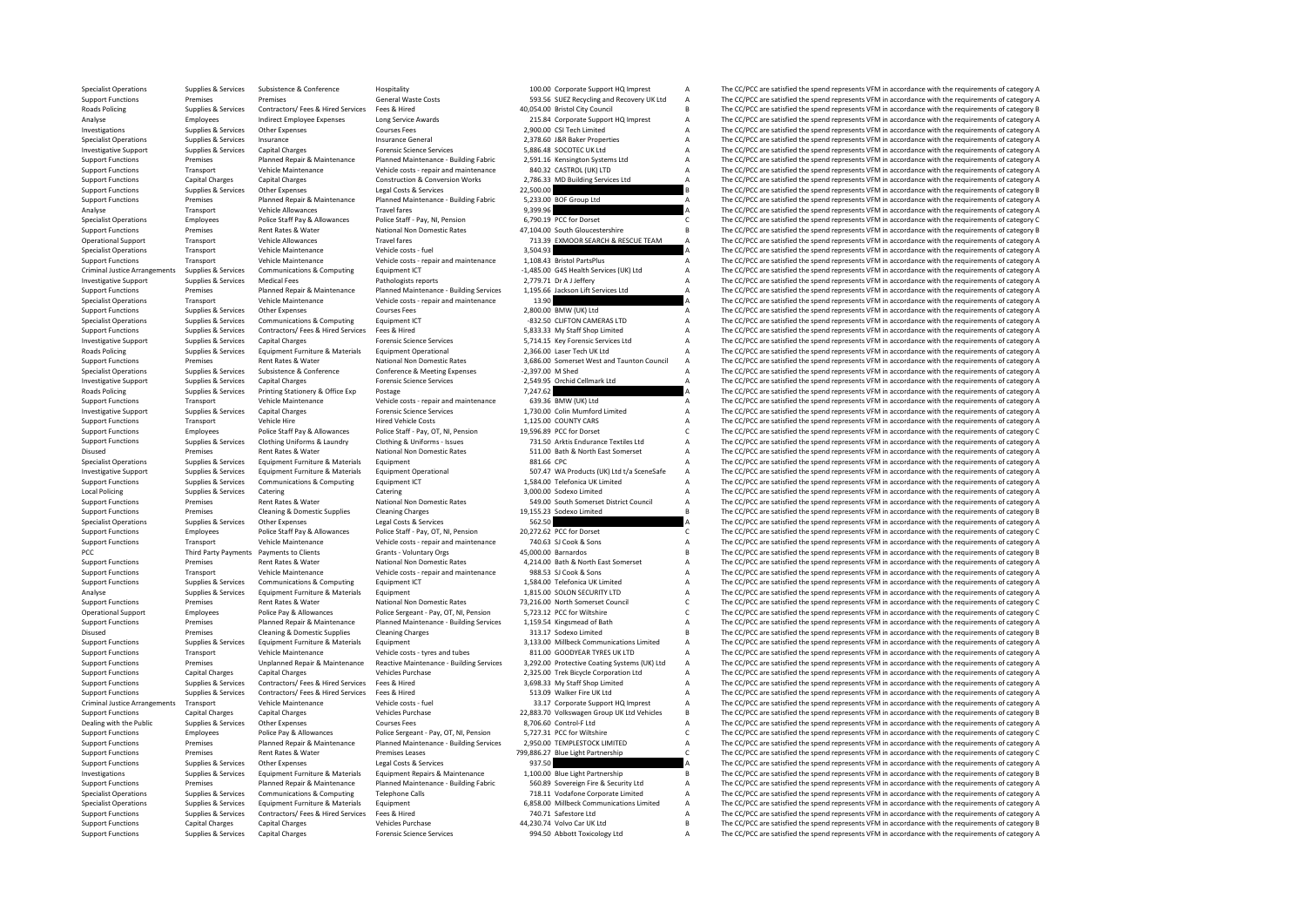Specialist Operations Supplies & Services Subsistence Mospitality Hospitality Hospitality 100.00 Corporate Support HQ Imprest A The CC/PCC are satisfied the spend represents VFM in accordance with the requirements of categ Support Functions Premises Premises Premises Premises Seneral Waste Costs General Waste Costs SUEZ Recycling and Recovery UK Ltd A The CC/PCC are satisfied the spend represents VFM in accordance with the requirements of ca Roads Policing Supplies & Services Contractors/ Fees & Hired Services Fees & Hired Services Fees & Hired Services Fees & Hired 40,054.00 Bristol City Council B The CC/PCC are satisfied the spend represents VFM in accordanc Analyse Employees Indirect Employee Expenses Long Service Awards 215.84 Corporate Support HQ Imprest A The CC/PCC are satisfied the spend represents VFM in accordance with the requirements of category A Courses Fees Course Investigations Supplies & Services Other Expenses Courses Fees 2,900.00 CSI Tech Limited A The CC/PCC are satisfied the spend represents VFM in accordance with the requirements of category A Specialist Operations Supplies Specialist Operations Supplies & Services Insurance Insurance General 2,378.60 J&R Baker Properties A The CC/PCC are satisfied the spend represents VFM in accordance with the requirements of category A Insurance General Su Investigative Support Supplies & Services Capital Charges Forensic Science Services 5,886.48 SOCOTEC UK Ltd A The CC/PCC are satisfied the spend represents VFM in accordance with the requirements of category A Support Plan Support Functions Support Permises Planned Repair & Maintenance Planned Maintenance - Building Fabric 2,591.16 Kensington Systems Ltd A The CC/PCC are satisfied the spend represents VFM in accordance with the requirements Vehicle Maintenance Vehicle costs - repair and maintenance 840.32 CASTROL (UK) LTD A The CC/PCC are satisfied the spend represents VFM in accordance with the requirements of category A<br>Construction & Conversion Works 2786. Support Functions Capital Charges Capital Charges Construction & Conversion Works 2,786.33 MD Building Services Ltd A The CC/PCC are satisfied the spend represents VFM in accordance with the requirements of category A Supp Support Functions Supplies & Services Other Expenses Legal Costs & Services 22,500.00 22,500.00 B The CC/PCC are satisfied the spend represents VFM in accordance with the requirements of category B<br>Support Functions Premis Support Functions Premises Planned Repair & Maintenance Planned Maintenance - Building Fabric 5,233.00 BOF Group Ltd A The CC/PCC are satisfied the spend represents VFM in accordance with the requirements of category A Tha Analyse Transport Vehicle Allowances Travel fares Travel fares 9,399.96 A The CC/PCC are satisfied the spend represents VFM in accordance with the requirements of category A Creatisfied the spend represents VFM in accordan Specialist Operations Employees Police Staff Pay & Allowances Police Staff - Pay, NI, Pension 6,790.19 PCC for Dorset C The CC/PCC are satisfied the spend represents VFM in accordance with the requirements of category C Ni Support Functions Premises Rent Rates & Water National Non Domestic Rates 47,104.00 South Gloucestershire B The CC/PCC are satisfied the spend represents VFM in accordance with the requirements of category B The Scheck Are The CC/PCC are satisfied the spend represents VFM in accordance with the requirements of category A Specialist Operations Transport Vehicle Maintenance Vehicle costs - fuel 3,504.93 a The CC/PCC are satisfied the spend represents VFM in accordance with the requirements of category A<br>Support Functions Transport Vehicle Ma Support Functions Transport Vehicle Maintenance Vehicle costs - repair and maintenance 1,108.43 Bristol PartsPlus A The CC/PCC are satisfied the spend represents VFM in accordance with the requirements of category A Crimin Criminal Justice Arrangements Supplies & Services Communications & Computing Equipment ICT -1,485.00 G4S Health Services (UK) Ltd A The CC/PCC are satisfied the spend represents VFM in accordance with the requirements of c Supplies & Services Medical Fees Pathologists reports 2,779.71 Dr A Jeffery A The CC/PCC are satisfied the spend represents VFM in accordance with the requirements of category A Pathologists reports 2,779.71 Dr A Jeffery A Support Functions Premises Planned Repair & Maintenance Planned Maintenance - Building Services 1,195.66 Jackson Lift Services Ltd A The CC/PCC are satisfied the spend represents VFM in accordance with the requirements of Specialist Operations Transport Vehicle Maintenance Vehicle Costs - repair and maintenance 13.90 a The CC/PCC are satisfied the spend represents VFM in accordance with the requirements of category A<br>Support Functions Suppo Support Functions Supplies & Services Other Expenses Courses Fees 2,800.00 BMW (UK) Ltd A The CC/PCC are satisfied the spend represents VFM in accordance with the requirements of category A Satisfied the Spendical Courses Specialist Operations Supplies & Services Communications & Computing Equipment ICT -832.50 CLIFTON CAMERAS LTD A The CC/PCC are satisfied the spend represents VFM in accordance with the requirements of category A Supplies Support Functions Supplies & Services Contractors/ Fees & Hired Services Fees & Hired Fees & Hired Fees & Hired Services Fees & Hired Spendices Support Fore Data Spend of the CC/PC are satisfied the spend represents VFM in Investigative Support Supplies & Services Capital Charges Forensic Science Services 5,714.15 Key Forensic Services Ltd A The CC/PCC are satisfied the spend represents VFM in accordance with the requirements of category A R Equipment Furniture & Materials Equipment Operational 2,366.00 Laser Tech UK Ltd A The CC/PCC are satisfied the spend represents VFM in accordance with the requirements of category A Zass and Tech UK Ltd A The CC/PCC are s Support Functions Premises Rent Rates & Water National Non Domestic Rates 2, 2006 Support The CC/PCC are satisfied the spend represents VFM in accordance with the requirements of category A The CC/PCC are satisfied the pre Specialist Operations Supplies & Services Subsistence & Conference Conference & Meeting Expenses -2,397.00 M Shed A The CC/PCC are satisfied the spend represents VFM in accordance with the requirements of category A The CC Investigative Support Supplies & Services Capital Charges Forensic Science Services 2,549.95 Orchid Cellmark Ltd A The CC/PCC are satisfied the spend represents VFM in accordance with the requirements of category A Roads P Printing Stationery & Office Exp Postage Postage 7,247.62 Printing Stationery A The CC/PCC are satisfied the spend represents VFM in accordance with the requirements of category A The CC/PCC are satisfied the spend represe Support Functions Transport Vehicle Maintenance Vehicle costs - repair and maintenance 639.36 BMW (UK) Ltd A The CC/PCC are satisfied the spend represents VFM in accordance with the requirements of category A Investigative Investigative Support Supplies & Services Capital Charges Forensic Science Services 1,730.00 Colin Mumford Limited A The CC/PCC are satisfied the spend represents VFM in accordance with the requirements of category A Suppo Support Functions Transport Vehicle Hire Hired Vehicle Costs 1,125.00 COUNTY CARS A The CC/PCC are satisfied the spend represents VFM in accordance with the requirements of category A Support Functions 1,125.00 COUNTY CARS Employees Police Staff Pay & Allowances Police Staff - Pay, OT, NI, Pension 19,596.89 PCC for Dorset C The CC/PCC are satisfied the spend represents VFM in accordance with the requirements of category C 19, 1996.89 PCC for Sunnort Eugeniance Cupper Sunning Services Clothing Uniforms & Laundry Clothing & Liniforms & Laundry Clothing & Laundry Clothing & Laundry Clothing & Laundry Clothing & Laundry Clothing & Laundry 731 SQ Arktis Endurance T Disused Premises Rent Rates & Water National Non Domestic Rates 511.00 Bath & North East Somerset A The CC/PCC are satisfied the spend represents VFM in accordance with the requirements of category A<br>Specialist Operations Specialist Operations Supplies & Services Equipment Furniture & Materials Equipment equipment Equipment Equipment and Equipment and Equipment and the spend and the CC/PCC are satisfied the spend represents VFM in accordanc Equipment Furniture & Materials Equipment Operational 507.47 WA Products (UK) Ltd t/a SceneSafe A The CC/PCC are satisfied the spend represents VFM in accordance with the requirements of category A<br>Communications & Communi Support Functions Supplies & Services Communications & Computing Equipment ICT 1,584.00 Telefonica UK Limited A The CC/PCC are satisfied the spend represents VFM in accordance with the requirements of category A Catering C Local Policing Supplies Services Catering Catering Catering Supplies A The CC/PCC are satisfied the spend represents VFM in accordance with the requirements of category A Catering Support Functions Permises Rent Rates A Na Support Functions Premises Rent Rates & Water National Non Domestic Rates 549.00 South Somerset District Council A The CC/PCC are satisfied the spend represents VFM in accordance with the requirements of category A<br>Support Support Functions Premises Cleaning & Domestic Supplies Cleaning Charges Cleaning Charges Cleaning Charges Cleaning Charges 19,155.23 Sodexo Limited B The CC/PCC are satisfied the spend represents VFM in accordance with th Concert Operations Specialist Operations Specialist Operations Supplies A The CC/PCC are satisfied the spend represents VFM in accordance with the requirements of category A Police Staff Pay, OT, NI, Pension 20,272.62 PCC Support Functions Employees Police Staff Pay & Allowances Police Staff - Pay, OT, NI, Pension 20,272.62 PCC for Dorset C The CC/PCC are satisfied the spend represents VFM in accordance with the requirements of category C V Transport Vehicle Maintenance Vehicle Costs - repair and maintenance 740.63 SJ Cook & Sons A The CC/PCC are satisfied the spend represents VFM in accordance with the requirements of category P<br>Third Party Payments to Clien PCC Third Party Payments Payments to Clients Grants - Voluntary Orgs 45,000.00 Barnardos and the Supering B The CC/PCC are satisfied the spend represents VFM in accordance with the requirements of category B<br>Support Functi Support Functions Premises Rent Rates & Water Mational Non Domestic Rates 4,214.00 Bath & North East Somerset A The CC/PCC are satisfied the spend represents VFM in accordance with the requirements of category A Vehicle Ma Support Functions Transport Vehicle Maintenance Vehicle costs - repair and maintenance 988.53 SJ Cook & Sons A The CC/PCC are satisfied the spend represents VFM in accordance with the requirements of category A Support Fun Support Functions Support Functions Suppliers Communications Computing Equipment ICT 1,584.00 Telefonica UK Limited A The CC/PCC are satisfied the spend represents VFM in accordance with the requirements of category A The Analyse Supplies & Services Equipment Furniture & Materials Equipment Equipment 1,815.00 SOLON SECURITY LTD A The CC/PCC are satisfied the spend represents VFM in accordance with the requirements of category A National Non Support Functions Premises Premises Rent Rates & Water National Non Domestic Rates 73,216.00 North Somerset Council C The CC/PCC are satisfied the spend represents VFM in accordance with the requirements of category C Poli Operational Support Employees Police Pay & Allowances Police Sergeant - Pay, OT, NI, Pension 5,723.12 PCC for Wiltshire C The CC/PCC are satisfied the spend represents VFM in accordance with the requirements of category C Planned Repair & Maintenance Planned Maintenance - Building Services 1,159.54 Kingsmead of Bath A The CC/PCC are satisfied the spend represents VFM in accordance with the requirements of category A The Company of category Disused Premises Cleaning & Domestic Supplies Cleaning Charges 313.17 Sodexo Limited B The CC/PCC are satisfied the spend represents VFM in accordance with the requirements of category B Support Functions Supplies & Services Equipment Furniture & Materials Equipment and Equipment Support Equipment<br>
Support Functions Services Services And Materials Service Vehicle Materials Vehicle Contes trees and tubes an Support Functions Transport Vehicle Maintenance Vehicle costs - tyres and tubes 811.00 GOODYEAR TYRES UK LTD A The CC/PCC are satisfied the spend represents VFM in accordance with the requirements of category A Support Fun Support Functions Premises Unplanned Repair & Maintenance Reactive Maintenance Building Services 3,292.00 Protective Coating Systems (UK) Ltd A The CC/PCC are satisfied the spend represents VFM in accordance with the requi Support Functions Capital Charges Capital Charges Vehicles Purchase Vehicles Purchase 2,325.00 Trek Bicycle Corporation Ltd A The CC/PCC are satisfied the spend represents VFM in accordance with the requirements of categor Support Functions Supplies & Services Contractors/ Fees & Hired Services Fees & Hired Services Support Functions Support Functions Support Functions Supplies & Services Contractors/ Fees & Hired Services Fees & Hired State The CC/PCC are satisfied the spend represents VFM in accordance with the requirements of category A Criminal Justice Arrangements Transport Vehicle Maintenance Vehicle costs - fuel 33.17 Corporate Support HQ Imprest A The CC/PCC are satisfied the spend represents VFM in accordance with the requirements of category A Support Functions Capital Charges Capital Charges Vehicles Vehicles Verhase 22,883.70 Volkswagen Group UK Ltd Vehicles B The CC/PCC are satisfied the spend represents VFM in accordance with the requirements of category B<br>D Dealing with the Public Supplies & Services Other Expenses Courses Fees 8,706.60 Control-F Ltd A The CC/PCC are satisfied the spend represents VFM in accordance with the requirements of category A Services Police Pay & All Support Functions Employees Police Pay & Allowances Police Sergeant - Pay, OT, NI, Pension 5,727.31 PCC for Wiltshire CC/PCC are satisfied the spend represents VFM in accordance with the requirements of category C Nice Con Planned Repair & Maintenance Planned Maintenance Building Services 2.950.00 TEMPLESTOCK LIMITED A The CC/PCC are satisfied the spend represents VFM in accordance with the requirements of category A Support Functions Premises Premises Rent Rates & Water Premises Leases 799,886.27 Blue Light Partnership C The CC/PCC are satisfied the spend represents VFM in accordance with the requirements of category C read Cost Repre Support Functions Supplies & Services Other Expenses Legal Costs & Services Legal Costs As a Costs Costs are and COSTS DEVIDENT DRAIN COSTS ON THE CORC are satisfied the spend represents VFM in accordance with the requirem The CC/PCC are satisfied the spend represents VFM in accordance with the requirements of category B Support Functions Premises Planned Repair & Maintenance Planned Maintenance - Building Fabric 560.89 Sovereign Fire & Security Ltd A The CC/PCC are satisfied the spend represents VFM in accordance with the requirements of Specialist Operations Supplies & Services Communications & Computing Telephone Calls 718.11 Vodafone Corporate Limited A The CC/PCC are satisfied the spend represents VFM in accordance with the requirements of category A S The CC/PCC are satisfied the spend represents VFM in accordance with the requirements of category A Support Functions Supplies & Services Contractors/ Fees & Hired Services Fees & Hired Services Fees & Hired Services Fees & Hired Services Fees and The CC/PCC are satisfied the spend represents VFM in accordance with the r Support Functions Capital Charges Capital Charges Capital Charges Vehicles Purchase 44,230.74 Volvo Car UK Ltd B The CC/PCC are satisfied the spend represents VFM in accordance with the requirements of category B Support Functions Supplies & Services Capital Charges Forensic Science Services 994.50 Abbott Toxicology Ltd A The CC/PCC are satisfied the spend represents VFM in accordance with the requirements of category A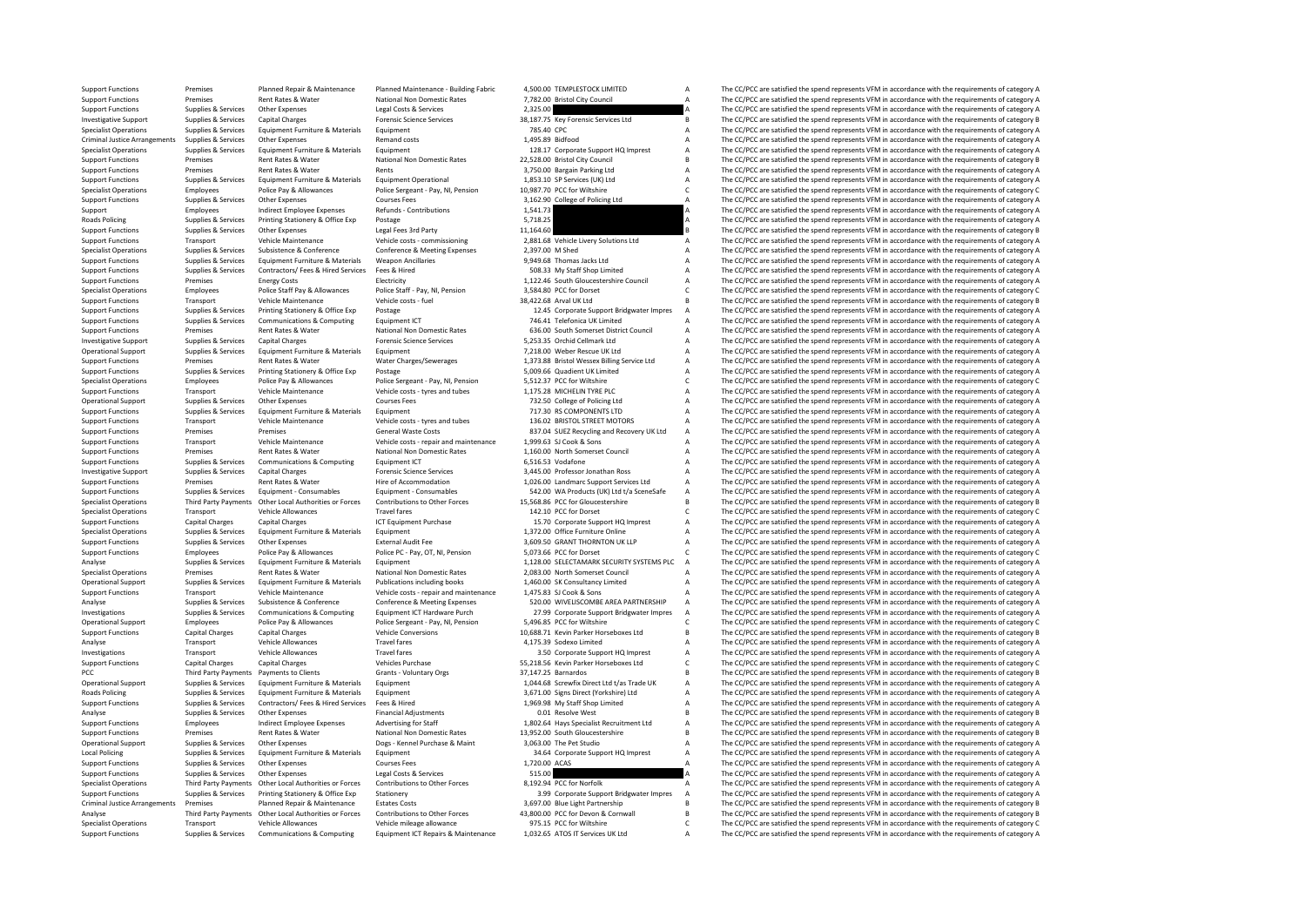Support Functions Premises Planned Repair & Maintenance Planned Maintenance - Building Fabric 4,500.00 TEMPLESTOCK LIMITED A The CC/PCC are satisfied the spend represents VFM in accordance with the requirements of category Support Functions Premises Rent Rates & Water National Non Domestic Rates 7,782.00 Bristol City Council A The CC/PCC are satisfied the spend represents VFM in accordance with the requirements of category A<br>Support Function Support Functions Supplies & Services Other Expenses Legal Costs & Services 2,325.00 A The CC/PCC are satisfied the spend represents VFM in accordance with the requirements of category A<br>Investigative Support Suppolies & S Investigative Support Supplies & Services Capital Charges Forensic Science Services 38,187.75 Key Forensic Services Ltd B The CC/PCC are satisfied the spend represents VFM in accordance with the requirements of category B Specialist Operations Supplies & Services Equipment Euriture & Materials Equipment Equipment Puriture & Materials Equipment 785.40 CPC 785.40 CPC 75.40 CPC 75.40 CPC 75.40 CPCC 75.40 CPCC 75.40 CPCC 75.40 CPCC 75.40 CPCC 7 Criminal Justice Arrangements Supplies & Services Other Expenses A Remand costs Remand costs and the service and the spend represents VFM in accordance with the requirements of category A The CC/PCC are satisfied the spend Specialist Operations Supplies & Services Equipment Furniture & Materials Equipment 128.17 Corporate Support HQ Imprest A The CC/PCC are satisfied the spend represents VFM in accordance with the requirements of category A Support Functions Premises Rent Rates & Water National Non Domestic Rates 22,528.00 Bristol City Council B The CC/PCC are satisfied the spend represents VFM in accordance with the requirements of category B<br>Support Functio Rent Rates & Water Rents Rents Rents Rents Rents (Support Functions Premises A The CC/PCC are satisfied the spend represents VFM in accordance with the requirements of category A 1953.10 CD Senvices (UK) trl A The CC/PCC a Support Functions Supplies & Services Equipment Furniture & Materials Equipment Operational 1,853.10 SP Services (UK) Ltd A The CC/PCC are satisfied the spend represents VFM in accordance with the requirements of category Specialist Operations Employees Police Pay & Allowances Police Sergeant - Pay, NI, Pension 10,987.70 PCC for Wiltshire C The CC/PCC are satisfied the spend represents VFM in accordance with the requirements of category C C Other Expenses Courses Fees Courses Fees 3,162.90 College of Policing Ltd A The CC/PCC are satisfied the spend represents VFM in accordance with the requirements of category A Indirect Functions and the requirements of cat Support Employees Indirect Employee Expenses Refunds - Contributions 1,541.73 Contributions 1,541.73 A The CC/PCC are satisfied the spend represents VFM in accordance with the requirements of category A<br>Roads Policing Supp Roads Policing Supplies & Services Printing Stationery & Office Exp Postage Postage Principles Printing States Printing States Principles Principles Supplies A The CC/PCC are satisfied the spend represents VFM in accordanc Support Functions Supplies & Services Other Expenses Legal Fees 3rd Party 11,164.60 11,164.60 B The CC/PCC are satisfied the spend represents VFM in accordance with the requirements of category B<br>Support Functions Transpor Transport Vehicle Maintenance Vehicle costs - commissioning 2,881.68 Vehicle Livery Solutions Ltd A The CC/PCC are satisfied the spend represents VFM in accordance with the requirements of category A<br>Support Support Suppor Specialist Operations Supplies & Services Subsistence & Conference Conference Conference Conference & Meeting Expenses 2,397.00 M Shed A The CC/PCC are satisfied the spend represents VFM in accordance with the requirements Support Functions Supplies & Services Equipment Furniture & Materials Weapon Ancillaries Weapon Ancillaries 9,949.68 Thomas Jacks Ltd A The CC/PCC are satisfied the spend represents VFM in accordance with the requirements Support Functions Supplies & Services Contractors/ Fees & Hired Fees & Hired Support Feeding Support Functions Support Functions Support Functions Support Functions Support Functions Support Functions Shop Limited A The CC Support Functions Premises Energy Costs Electricity Electricity 1,122.46 South Gloucestershire Council A The CC/PCC are satisfied the spend represents VFM in accordance with the requirements of category A Spend in a Spend Specialist Operations Employees Police Staff Pay & Allowances Police Staff - Pay, NI, Pension 3,584.80 PCC for Dorset C The CC/PCC are satisfied the spend represents VFM in accordance with the requirements of category C Ve Support Functions Transport Vehicle Maintenance Vehicle costs - fuel 38,422.68 Arval UK Ltd B The CC/PCC are satisfied the spend represents VFM in accordance with the requirements of category B<br>Support Functions Support Bu Support Functions Supplies & Services Printing Stationery & Office Exp Postage Printing States Printing States<br>Support Functions Supplies & Services Communications & Computing Equipment ICT 12.45 Corporate Support Bridgwat Support Functions Supplies & Services Communications & Computing Equipment ICT 746.41 Telefonica UK Limited A The CC/PCC are satisfied the spend represents VFM in accordance with the requirements of category A Supplies & S Support Functions Premises Rent Rates & Water National Non Domestic Rates 636.00 South Somerset District Council A The CC/PCC are satisfied the spend represents VFM in accordance with the requirements of category A Distric Investigative Support Supplies & Services Capital Charges Forensic Science Services 5,253.35 Orchid Cellmark Ltd A The CC/PCC are satisfied the spend represents VFM in accordance with the requirements of category A Charges Equipment Furniture & Materials Equipment<br>
The CC/PCC are satisfied the spend represents VFM in accordance with the requirements of category A<br>
Rent Rates & Water Annes Charges Material Assembly the spend of category A The Support Functions Premises Rent Rates & Water Water Charges/Sewerages 1,373.88 Bristol Wessex Billing Service Ltd A The CC/PCC are satisfied the spend represents VFM in accordance with the requirements of category A The CC Support Functions Supplies & Services Printing Stationery & Office Exp Postage Postage Postage 5,009.66 Quadient UK Limited A The CC/PCC are satisfied the spend represents VFM in accordance with the requirements of categor Specialist Operations Employees Police Pay & Allowances Police Sergeant - Pay, NI, Pension 5,512.37 PCC for Wiltshire C The CC/PCC are satisfied the spend represents VFM in accordance with the requirements of category C Ve Transport Vehicle Maintenance Vehicle costs - tyres and tubes 1,175.28 MICHELIN TYRE PLC A The CC/PCC are satisfied the spend represents VFM in accordance with the requirements of category A Support Courses Fees 1,175.28 M Operational Support Supplies & Services Other Expenses Courses Fees 732.50 College of Policing Ltd A The CC/PCC are satisfied the spend represents VFM in accordance with the requirements of category A Support Support Suppo The CC/PCC are satisfied the spend represents VFM in accordance with the requirements of category A Support Functions Transport Vehicle Maintenance Vehicle costs - tyres and tubes 136.02 BRISTOL STREET MOTORS A The CC/PCC are satisfied the spend represents VFM in accordance with the requirements of category A Support Fun Fremises Premises General Waste Costs 837.04 SUEZ Recycling and Recovery UK Ltd A The CC/PCC are satisfied the spend represents VFM in accordance with the requirements of category A<br>The CC/PCC are satisfied the spend repr Support Functions Transport Vehicle Maintenance Vehicle costs - repair and maintenance 1,999.63 SJ Cook & Sons A The CC/PCC are satisfied the spend represents VFM in accordance with the requirements of category A Support F Support Functions Premises Rent Rates & Water National Non Domestic Rates 1,160.00 North Somerset Council A The CC/PCC are satisfied the spend represents VFM in accordance with the requirements of category A Support Functi Support Functions Supplies & Services Communications & Computing Equipment ICT 6,516.53 Vodafone A The CC/PCC are satisfied the spend represents VFM in accordance with the requirements of category A The CC/PC are satisfied The CC/PCC are satisfied the spend represents VFM in accordance with the requirements of category A The CC/PCC are satisfied the spend represents VFM in accordance with the requirements of category A The CC/PCC are satisfi Support Functions Premises Rent Rates & Water Hire of Accommodation 1,026.00 Landmarc Support Services Ltd A The CC/PCC are satisfied the spend represents VFM in accordance with the requirements of category A Support Funct Support Functions Supplies & Services Equipment - Consumables Equipment - Consumables Equipment - Consumables<br>Specialist Operations Third Party Payments Other Local Authorities or Forces Contributions to Other Forces 15,56 Specialist Operations Third Party Payments Other Local Authorities or Forces Contributions to Other Forces 15,568.86 PCC for Gloucestershire B<br>The CC/PCC are satisfied the spend represents VFM in accordance with the requir Specialist Operations Transport Vehicle Allowances Travel fares Travel fares 142.10 PCC for Dorset C The CC/PCC are satisfied the spend represents VFM in accordance with the requirements of category C The Criteria and the Support Functions Capital Charges Capital Charges Capital Charges ICT Equipment Purchase 15.70 Corporate Support HQ Imprest A The CC/PCC are satisfied the spend represents VFM in accordance with the requirements of categor Specialist Operations Supplies & Services Equipment Furniture & Materials Equipment 1,372.00 Office Furniture Online A The CC/PCC are satisfied the spend represents VFM in accordance with the requirements of category A Sup Other Expenses External Audit Fee 3,609.50 GRANT THORNTON UK LLP A The CC/PCC are satisfied the spend represents VFM in accordance with the requirements of category A<br>Police Pay & Allowances Police PC- Pay OT. N. Pension 5 Support Functions Employees Police Pay & Allowances Police PC - Pay, OT, NI, Pension 5,073.66 PCC for Dorset COMEN CONTENT CONCC are satisfied the spend represents VFM in accordance with the requirements of category C anal Analyse Supplies Services Equipment Furniture & Materials Equipment Europhysics Equipment Analyse Equipment Europeants of category A 1,128.00 SELECTAMARK SECURITY SYSTEMS PLC A The CC/PCC are satisfied the spend represents Specialist Operations Premises Rent Rates & Water National Non Domestic Rates 2,083.00 North Somerset Council A The CC/PCC are satisfied the spend represents VFM in accordance with the requirements of category A Creational Operational Supplies & Services Equipment Furniture & Materials Publications including books 1,460.00 SK Consultancy Limited A The CC/PCC are satisfied the spend represents VFM in accordance with the requirements of catego Support Functions Transport Vehicle Maintenance Vehicle costs - repair and maintenance 1,475.83 SJ Cook & Sons A The CC/PCC are satisfied the spend represents VFM in accordance with the requirements of category A Analyse S Analyse Supplies & Services Subsistence & Conference Conference Conference Subsistence Conference Conference & Meeting Expenses 520.00 WIVELISCOMBE AREA PARTNERSHIP A The CC/PCC are satisfied the spend represents VFM in ac Investigations Supplies & Services Communications & Computing Equipment ICT Hardware Purch 27.99 Corporate Support Bridgwater Impres A The CC/PCC are satisfied the spend represents VFM in accordance with the requirements o Coperational Support Pay & Allowances Police Sergeant - Pay, NI, Pension 5,496.85 PCC for Wiltshire C The CC/PCC are satisfied the spend represents VFM in accordance with the requirements of category C vehicle Conversions Support Functions Capital Charges Capital Charges Vehicle Conversions 10,688.71 Kevin Parker Horseboxes Ltd B The CC/PCC are satisfied the spend represents VFM in accordance with the requirements of category B Analyse Transport Vehicle Allowances Travel fares Travel fares 4,175.39 Sodexo Limited A The CC/PCC are satisfied the spend represents VFM in accordance with the requirements of category A The Vehicle Allowances Travel far Travel fares Travel fares Travel fares Support HQ Imprest A The CC/PCC are satisfied the spend represents VFM in accordance with the requirements of category A Capital Charges Capital Charges Support HQ Imprest A C The CC/ Support Functions Capital Charges Capital Charges Vehicles Purchase S5,218.56 Kevin Parker Horseboxes Ltd C The CC/PCC are satisfied the spend represents VFM in accordance with the requirements of category C The CC/PCC are PCC Third Party Payments Payments to Clients Grants - Voluntary Orgs 37,147.25 Barnardos B The CC/PCC are satisfied the spend represents VFM in accordance with the requirements of category B Category B and CATEGORY B COPCC Operational Support Supplies & Services Equipment Furniture & Materials Equipment Equipment Equipment Equipment<br>Roads Policing and the CC/PCC are satisfied the spend represents VFM in accordance with the requirements of ca The CC/PCC are satisfied the spend represents VFM in accordance with the requirements of category A Support Functions Supplies & Services Contractors/ Fees & Hired Services Fees & Hired 1,969.98 My Staff Shop Limited A The CC/PCC are satisfied the spend represents VFM in accordance with the requirements of category A Analyse Supplies & Services Other Expenses Financial Adjustments Containers and the Supplies Advertial Adjustments of category B CO/PCC are satisfied the spend represents VFM in accordance with the requirements of category Support Functions Employees Indirect Employee Expenses Advertising for Staff 1,802.64 Hays Specialist Recruitment Ltd A The CC/PCC are satisfied the spend represents VFM in accordance with the requirements of category A Na Support Functions Premises Rent Rates & Water National Non Domestic Rates 13,952.00 South Gloucestershire B The CC/PCC are satisfied the spend represents VFM in accordance with the requirements of category B Does - Kennel Operational Support Support Support Support Support Support Support Support Support Support Dealer Support Dealer Support Support Support Support Support Support Support Support Support Support Support Support Support Supp Local Policing Supplies & Services Equipment Furniture & Materials Equipment and Equipment 34.64 Corporate Support HQ Imprest A The CC/PCC are satisfied the spend represents VFM in accordance with the requirements of categ Support Functions Supplies & Services Other Expenses Courses Fees 1,720.00 ACAS A The CC/PCC are satisfied the spend represents VFM in accordance with the requirements of category A Courses Courses Courses Courses Courses The CC/PCC are satisfied the spend represents VFM in accordance with the requirements of category A Specialist Operations Third Party Payments Other Local Authorities or Forces Contributions to Other Forces 8,192.94 PCC for Norfolk The CC/PCC are satisfied the spend represents VFM in accordance with the requirements of c Support Functions Supplies & Services Printing Stationery Boffice Exp Stationery Support and the Support Bridgwater Impres A The CC/PCC are satisfied the spend represents VFM in accordance with the requirements of category The CC/PCC are satisfied the spend represents VFM in accordance with the requirements of category B Analyse Trim Party Payments Other Local Authorities of Forces Contributions to the Forces of ALS00.00 PCC for Devon & Community Chemical and the equity of the COPC and the equity of the COPC and the equity of the equity of Transport Vehicle Allowances Vehicle mileage allowance 975.15 PCC for Wiltshire C The CC/PCC are satisfied the spend represents VFM in accordance with the requirements of category C Supplies & Services Communications & Computing Equipment ICT Repairs & Maintenance 1,032.65 ATOS IT Services UK Ltd A The CC/PCC are satisfied the spend represents VFM in accordance with the requirements of category A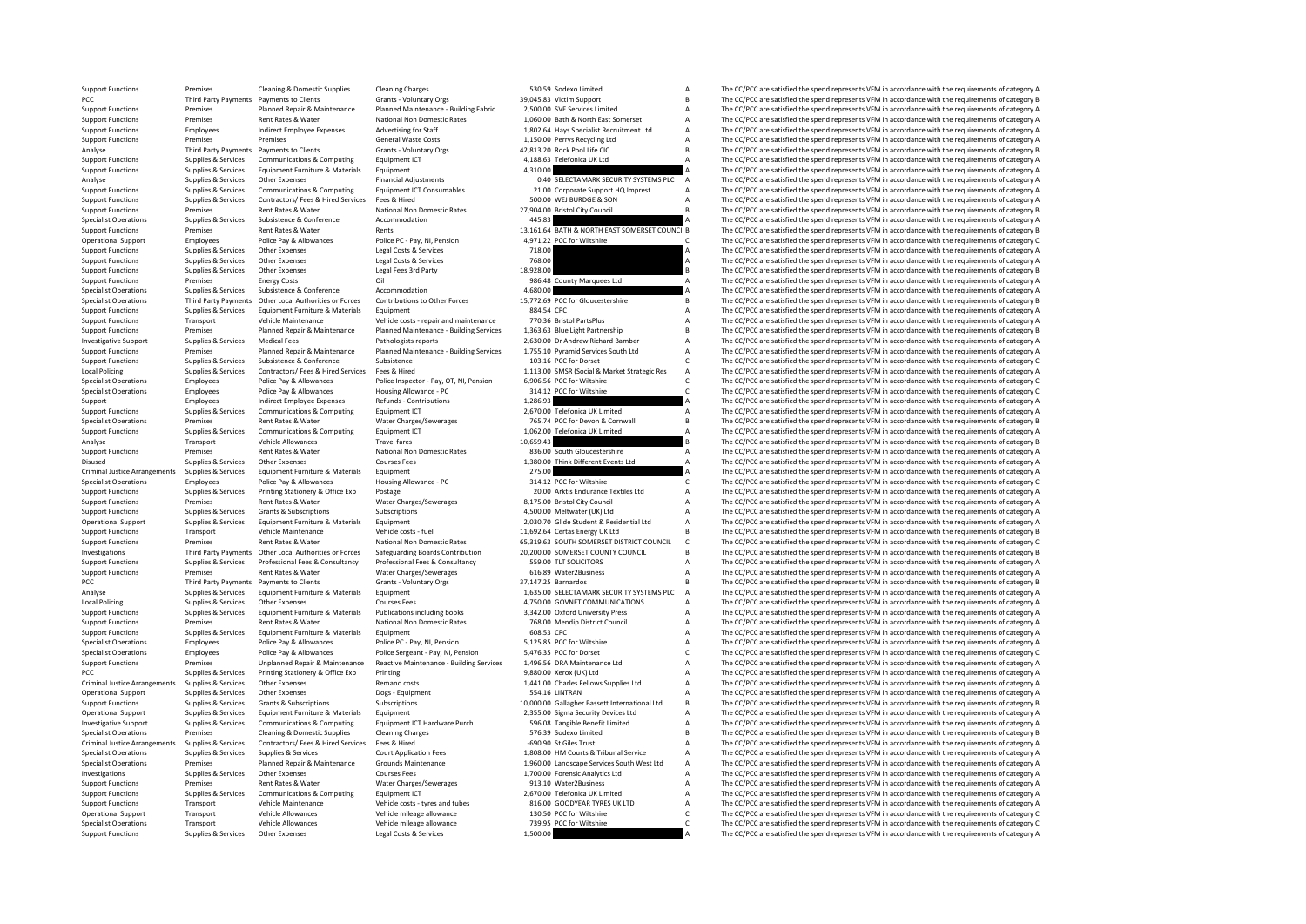Support Functions Premises Cleaning & Domestic Supplies Cleaning Charges Cleaning Charges Cleaning Charges 530.59 Sodexo Limited A The CC/PCC are satisfied the spend represents VFM in accordance with the requirements of ca PCC Third Party Payments Payments to Clients<br>Party Payments of Clients Grants - Voluntary Orgs 39,045.83 Victim Support B The CC/PCC are satisfied the spend represents VFM in accordance with the requirements of category B<br> Support Functions Support Functions Premises Planned Repair & Maintenance Planned Maintenance - Building Fabric 2,500.00 SVE Services Limited A The CC/PCC are satisfied the spend represents VFM in accordance with the requi Support Functions Premises Rent Rates & Water National Non Domestic Rates 1,060.00 Bath & North East Somerset A The CC/PCC are satisfied the spend represents VFM in accordance with the requirements of category A divertisin Support Functions Employees Indirect Employee Expenses Advertising for Staff 1,802.64 Hays Specialist Recruitment Ltd A The CC/PCC are satisfied the spend represents VFM in accordance with the requirements of category A Su Premises Premises Premises Ceneral Waste Costs 1,150.00 Perrys Recycling Ltd A The CC/PCC are satisfied the spend represents VFM in accordance with the requirements of category A Ceneral Waste Costs 1,150.00 Perrys Recycli Analyse Third Party Payments Payments to Clients Grants - Voluntary Orgs 42,813.20 Rock Pool Life CIC B The CC/PCC are satisfied the spend represents VFM in accordance with the requirements of category B<br>Support Functions Support Functions Supplies & Services Communications & Computing Equipment ICT 4,188.63 Telefonica UK Ltd A The CC/PCC are satisfied the spend represents VFM in accordance with the requirements of category A Support Functi SUPPORT THE CC/PCC are satisfied the spend represents VFM in accordance with the requirements of category A<br>A The CC/PCC are satisfied the spend represents VFM in accordance with the requirements of category A Analyse Supplies & Services Other Expenses Financial Adjustments Financial Adjustments 0.40 SELECTAMARK SECURITY SYSTEMS PLC A The CC/PCC are satisfied the spend represents VFM in accordance with the requirements of catego Support Functions Supplies & Services Communications & Computing Equipment ICT Consumables 21.00 Corporate Support HQ Imprest A The CC/PCC are satisfied the spend represents VFM in accordance with the requirements of categ Support Functions Supplies & Services Contractors/ Fees & Hired Services Fees & Hired Services Fees & Hired Services Fees & Hired Services Fees & Hired Services Services Fees & Hired Services Services Services SON A The CC Support Functions Premises Rent Rates & Water National Non Domestic Rates 27,904.00 Bristol City Council B The CC/PCC are satisfied the spend represents VFM in accordance with the requirements of category B<br>Support Functio Specialist Operations Subsistence Subsistence Subsistence Accommodation Accommodation 445.83 A The CC/PCC are satisfied the spend represents VFM in accordance with the requirements of category A Rent Rate of Accommodation Support Functions Premises Rent Rates & Water Rents Rents Rents Rents Rents Rents Rents Rents Rents Rents Rent<br>13,161.64 BATH & NORTH EAST SOMERSET COUNCI THE CC/PCC are satisfied the spend represents VFM in accordance wit The CC/PCC are satisfied the spend represents VFM in accordance with the requirements of category C Support Functions Supplies & Services Other Expenses Legal Costs & Services 718.00 A The CC/PCC are satisfied the spend represents VFM in accordance with the requirements of category A Costs and the requirements of categor Support Functions Supplies & Services Other Expenses Legal Costs & Services Peak Costs are and The CC/PCC are satisfied the spend represents VFM in accordance with the requirements of category B<br>Support Functions Supplies Support Functions Supplies & Services Other Expenses Legal Fees 3rd Party 18,928.00 B The CC/PCC are satisfied the spend represents VFM in accordance with the requirements of category B<br>Support Functions Premises Energy Co Support Functions Premises Energy Costs Counterents of category A The CC/PCC are satisfied the spend represents VFM in accordance with the requirements of category A Commodation A 4,680.00 4,680.00 4,680.00 A The CC/PCC ar Specialist Operations Supplies & Services Subsistence Subsistence Accommodation Accommodation accordance Accommodation 4,680.00 A The CC/PCC are satisfied the spend represents VFM in accordance with the requirements of cat Specialist Operations Third Party Payments Other Local Authorities or Forces Contributions to Other Forces 15,772.69 PCC for Gloucestershire B<br>Supplies As Services Fouloment Furniture & Materials Fouloment Eurique RASA CPC Support Functions Supplies & Services Equipment Functions Equipment Equipment Equipment Equipment Equipment Equipment Equipment Equipment and the spend and the spend of the Service of the Service of COPCC are satisfied the Support Functions Transport Vehicle Maintenance Vehicle costs - repair and maintenance 770.36 Bristol PartsPlus A The CC/PCC are satisfied the spend represents VFM in accordance with the requirements of category A Support Support Functions Premises Premises Planned Repair & Maintenance Planned Maintenance - Building Services 1,363.63 Blue Light Partnership B The CC/PCC are satisfied the spend represents VFM in accordance with the requiremen Investigative Support Supplies & Services Medical Fees Pathologists reports 2,630.00 Dr Andrew Richard Bamber A The CC/PCC are satisfied the spend represents VFM in accordance with the requirements of category A Support Pl Premises Planned Repair & Maintenance Planned Maintenance - Building Services 1,755.10 Pyramid Services South Ltd A The CC/PCC are satisfied the spend represents VFM in accordance with the requirements of category Planned Support Functions Supplies & Services Subsistence & Conference Subsistence Subsistence of Conference Inc. Inc. Conference Conference Conference Conference Conference Conference Conference Inc. A CONFerence Conference Confe Local Policing Supplies & Services Contractors/ Fees & Hired Services Fees & Hired Hired 1,113.00 SMSR (Social & Market Strategic Res A The CC/PCC are satisfied the spend represents VFM in accordance with the requirements Specialist Operations Employees Police Pay & Allowances Police Inspector - Pay, OT, NI, Pension 6,906.56 PCC for Wiltshire C The CC/PCC are satisfied the spend represents VFM in accordance with the requirements of category Police Pay & Allowances Housing Allowance - PC 314.12 PCC for Wiltshire C The CC/PCC are satisfied the spend represents VFM in accordance with the requirements of category C 314.12 PCC for Wiltshire 314.12 PCC for Wiltshir Support Employees Indirect Employee Expenses Refunds - Contributions 1,286.93 A The CC/PCC are satisfied the spend represents VFM in accordance with the requirements of category A<br>Support European Supplies & Services Commu The CC/PCC are satisfied the spend represents VFM in accordance with the requirements of category A Specialist Operations Premises Rent Rates & Water Water Charges/Sewerages 765.74 PCC for Devon & Cornwall B The CC/PCC are satisfied the spend represents VFM in accordance with the requirements of category B<br>Support Functi Support Functions Support Functions Suppliers Computing Equipment ICT 1,062.00 Telefonica UK Limited 1,062.00 Telefonica UK Limited A The CC/PCC are satisfied the spend represents VFM in accordance with the requirements of Analyse Transport Vehicle Allowances Travel fares Travel fares 10,659.43 B The CC/PCC are satisfied the spend represents VFM in accordance with the requirements of category B<br>Sunnort Europeants VFM in accordance with the r Support Functions Premises Rent Rates & Water Mational Non Domestic Rates 836.00 South Gloucestershire A The CC/PCC are satisfied the spend represents VFM in accordance with the requirements of category A Courses Courses C Disused Supplies & Services Other Expenses Courses Fees Courses Fees 1,380.00 Think Different Events Ltd A The CC/PCC are satisfied the spend represents VFM in accordance with the requirements of category A Criminal Justic Criminal Justice Arrangements Supplies & Services Equipment Furniture & Materials Equipment Equipment Equipment Equipment Equipment Equipment Equipment Arrange Equipment 275.00 a The CC/PCC are satisfied the spend represen Specialist Operations Employees Police Pay & Allowances Housing Allowance - PC 314.12 PCC for Wiltshire COME The CC/PCC are satisfied the spend represents VFM in accordance with the requirements of category C Supplies & Se Support Functions Supplies & Services Printing Stationery & Office Exp Postage Postage Printing States Printing States Printing States Printing States Printing States Printing States Printing States Printing States Printin Support Functions Premises Premises Rent Rates & Water Water Charges/Sewerages 8,175.00 Bristol City Council A The CC/PCC are satisfied the spend represents VFM in accordance with the requirements of category A Support Fun Support Functions Supplies & Services Grants & Subscriptions Subscriptions Subscriptions Subscriptions Subscriptions and the ending process and the CC/PCC are satisfied the spend represents VFM in accordance with the requi The  $CC/PCC$  are satisfied the spend represents VFM in accordance with the requirements of category A Support Functions Transport Vehicle Maintenance Vehicle costs - fuel 11,692.64 Certas Energy UK Ltd B The CC/PCC are satisfied the spend represents VFM in accordance with the requirements of category B<br>Support Functions Pe Functions Premises Rent Rates & Water National Non Domestic Rates 65,319.63 SOUTH SOMERSET DISTRICT COUNCIL C The CC/PCC are satisfied the spend represents VFM in accordance with the requirements of category C areas (Sateg Investigations Third Party Payments Other Local Authorities or Forces Safeguarding Boards Contribution 20,200.00 SOMERSET COUNTY COUNCIL B The CC/PCC are satisfied the spend represents VFM in accordance with the requiremen Support Functions Supplies & Services Professional Fees & Consultancy Professional Fees & Consultancy Professional Fees & Consultancy Professional Fees & Consultancy State Support Functions and the CC/PCC are satisfied the Support Functions Premises Rent Rates & Water Water Charges/Sewerages Charges and Contact Charges/Sewerages 616.89 Water Charges/Sewerages A The CC/PCC are satisfied the spend represents VFM in accordance with the requirem Payments to Clients Grants - Voluntary Orgs 17,147.25 Barnardos B The CC/PCC are satisfied the spend represents VFM in accordance with the requirements of category B The CC/PCC are satisfied the spend represents VFM in acc Analyse Supplies & Services Equipment Euriture & Materials Equipment 1,635.00 SELECTAMARK SECURITY SYSTEMS PLC A The CC/PCC are satisfied the spend represents VFM in accordance with the requirements of category A Courses C Local Policing Supplies A Services Other Expenses Courses Fees Courses Fees 4,750.00 GOVNET COMMUNICATIONS A The CC/PCC are satisfied the spend represents VFM in accordance with the requirements of category A Supplies & Se Support Functions Supplies & Services Equipment Functive & Materials Publications including books and a 3,342.00 Oxford University Press Material A The CC/PCC are satisfied the spend represents VFM in accordance with the r Examples Rent Rates & Water National Non Domestic Rates 768.00 Mendip District Council A The CC/PCC are satisfied the spend represents VFM in accordance with the requirements of category A<br>Support Functions A The CC/PCC ar Support Functions Supplies & Services Faultoment Functions Materials Faultoment 608.53 CPC A The CC/PCC are satisfied the spend represents VFM in accordance with the requirements of category A Specialist Operations Employees Police Pay & Allowances Police PC - Pay, NI, Pension 5,125.85 PCC for Wiltshire A The CC/PCC are satisfied the spend represents VFM in accordance with the requirements of category A Police P Specialist Operations Employees Police Pay & Allowances Police Sergeant - Pay, NI, Pension 5,476.35 PCC for Dorset C The CC/PCC are satisfied the spend represents VFM in accordance with the requirements of category C Suppo Premises Unplanned Repair & Maintenance Reactive Maintenance - Building Services 1,496.56 DRA Maintenance Ltd Maintenance Ltd The CC/PCC are satisfied the spend represents VFM in accordance with the requirements of categor PCC Supplies & Services Printing Stationery & Office Exp Printing Printing 9,880.00 Xerox (UK) Ltd A The CC/PCC are satisfied the spend represents VFM in accordance with the requirements of category A Remand costs and a st Criminal Justice Arrangements Supplies & Services Other Expenses Remand costs Remand costs Remand costs 1,441.00 Charles Fellows Supplies Ltd A The CC/PCC are satisfied the spend represents VFM in accordance with the requi The CC/PCC are satisfied the spend represents VFM in accordance with the requirements of category A Support Functions Supplies & Services Grants & Subscriptions Subscriptions Subscriptions 10,000.00 Gallagher Bassett International Ltd B The CC/PCC are satisfied the spend represents VFM in accordance with the requirements Operational Supplies Aservices Equipment Furniture & Materials Equipment Equipment Computine Equipment Equipment Equipment 2,355.00 Sigma Security Devices Ltd A The CC/PCC are satisfied the spend represents VFM in accordan Investigative Support Supplies & Services Communications & Computing Equipment ICT Hardware Purch 596.08 Tangible Benefit Limited A The CC/PCC are satisfied the spend represents VFM in accordance with the requirements of category A Specialist Operations Premises Cleaning & Domestic Supplies Cleaning Charges Cleaning Charges Coleaning Charges Contactors/ Fees & Hired Service Fees & Hired Service Fees & Hired Service Fees & Hired Service Pees & Hired S Criminal Tustice Arrangements Supplies Arrangements Supplies Arrangements Supplies Arrangements Supplies Arrangements of category A The CC/PCC are satisfied the spend represents VFM in accordance with the requirements of c Specialist Operations Supplies & Services Supplies & Services Court Application Fees 1,808.00 HM Courts & Tribunal Service A The CC/PCC are satisfied the spend represents VFM in accordance with the requirements of category Specialist Operations Premises Planned Repair & Maintenance Grounds Maintenance 1,960.00 Landscape Services South West Ltd A The CC/PCC are satisfied the spend represents VFM in accordance with the requirements of category The CC/PCC are satisfied the spend represents VFM in accordance with the requirements of category A Support Functions Premises Rent Rates & Water Water Water Charges/Sewerages 913.10 Water2Business A The CC/PCC are satisfied the spend represents VFM in accordance with the requirements of category A Support Functions A Co Support Functions Supplies & Services Communications & Computing Equipment ICT 2,670.00 Telefonica UK Limited A The CC/PCC are satisfied the spend represents VFM in accordance with the requirements of category A Support Fu S16.00 GOODYEAR TYRES UK LTD A The CC/PCC are satisfied the spend represents VFM in accordance with the requirements of category A The CC/PCC are satisfied the spend represents VFM in accordance with the requirements of ca Operational Support Vehicle Allowances Vehicle mileage allowance 130.50 PCC for Wiltshire C The CC/PCC are satisfied the spend represents VFM in accordance with the requirements of category C in accordance with the require Specialist Operations Transport Vehicle Allowances Vehicle mileage allowance 739.95 PCC for Wiltshire C The CC/PCC are satisfied the spend represents VFM in accordance with the requirements of category C Support Functions Supplies & Services Other Expenses Legal Costs & Services 1,500.00 A The CC/PCC are satisfied the spend represents VFM in accordance with the requirements of category A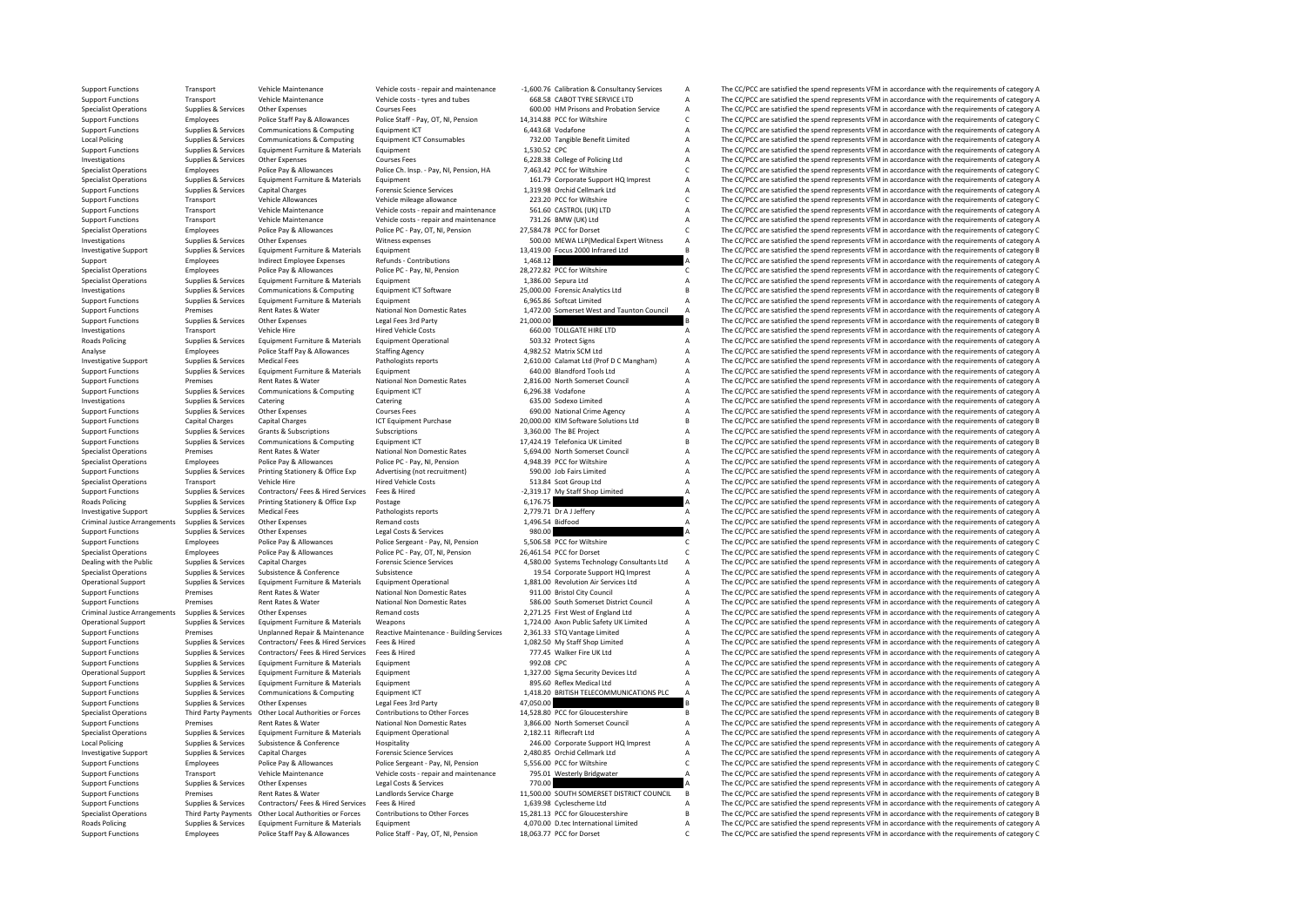Support Functions Transport Vehicle Maintenance Vehicle Costs - repair and maintenance -1,600.76 Calibration & Consultancy Services A The CC/PCC are satisfied the spend represents VFM in accordance with the requirements of Support Functions Transport Vehicle Maintenance Vehicle costs - tyres and tubes 668.58 CABOT TYRE SERVICE LTD A The CC/PCC are satisfied the spend represents VFM in accordance with the requirements of category A<br>Support Fu Specialist Operations Supplies & Services Other Expenses Courses Fees 600.00 HM Prisons and Probation Service A The CC/PCC are satisfied the spend represents VFM in accordance with the requirements of category A Support Fu Support Functions Employees Police Staff Pay & Allowances Police Staff - Pay, OT, NI, Pension 14,314.88 PCC for Wiltshire C The CC/PCC are satisfied the spend represents VFM in accordance with the requirements of category Support Functions Supplies & Services Communications & Computing Equipment ICT 6,443.68 Vodafone A The CC/PCC are satisfied the spend represents VFM in accordance with the requirements of category A Local Policine Supplies Local Policing Supplies Aservices Communications & Computing Equipment ICT Consumables 732.00 Tangible Benefit Limited A The CC/PCC are satisfied the spend represents VFM in accordance with the requirements of category A S Support Functions Supplies & Services Equipment Furniture & Materials Equipment Equipment Equipment 1,530.52 CPC A The CC/PCC are satisfied the spend represents VFM in accordance with the requirements of category A The CC/ Investigations Supplies & Services Other Expenses Courses Fees Courses Fees 6,228.38 College of Policing Ltd A The CC/PCC are satisfied the spend represents VFM in accordance with the requirements of category A Police Pay Police Pay & Allowances Police Ch. Insp. - Pay, NI, Pension, HA 7,463.42 PCC for Wiltshire C The CC/PCC are satisfied the spend represents VFM in accordance with the requirements of category C 151.20 Compacts UFM in accord Specialist Operations Supplies & Services Equipment Furniture & Materials Equipment Equipment 161.79 Corporate Support HQ Imprest A The CC/PCC are satisfied the spend represents VFM in accordance with the requirements of c Support Functions Supplies & Services Capital Charges Forensic Science Services 1,319.98 Orchid Cellmark Ltd A The CC/PCC are satisfied the spend represents VFM in accordance with the requirements of category A Vehicle All Support Functions Transport Vehicle Allowances Vehicle Mileage allowance 223.20 PCC for Wiltshire C The CC/PCC are satisfied the spend represents VFM in accordance with the requirements of category C Sepan and the requirem Support Functions Transport Vehicle Maintenance Vehicle costs - repair and maintenance 561.60 CASTROL (UK) LTD A The CC/PCC are satisfied the spend represents VFM in accordance with the requirements of category A Support F Support Functions Transport Vehicle Maintenance Vehicle costs - repair and maintenance 731.26 BMW (UK) Ltd A The CC/PCC are satisfied the spend represents VFM in accordance with the requirements of category C<br>Specialist Op Specialist Operations Employees Police Pay & Allowances Police PC - Pay, OT, NI, Pension 27,584.78 PCC for Dorset C The CC/PCC are satisfied the spend represents VFM in accordance with the requirements of category C Niters The CC/PCC are satisfied the spend represents VFM in accordance with the requirements of category A<br>The CC/PCC are satisfied the spend represents VFM in accordance with the requirements of category A<br>For the CC/PCC are sat Investigative Support Supplies & Services Equipment Furniture & Materials Equipment Liquipment 13,419.00 Focus 2000 Infrared Ltd B The CC/PCC are satisfied the spend represents VFM in accordance with the requirements of ca Support Employees Indirect Employee Expenses Refunds Contributions 1,468.12 A The CC/PCC are satisfied the spend represents VFM in accordance with the requirements of category A Specialist Operations Employees Police Pay & Specialist Operations Employees Police Pay & Allowances Police PC - Pay, NI, Pension 28,272.82 PCC for Wiltshire COME and C The CC/PCC are satisfied the spend represents VFM in accordance with the requirements of category Equipment Furniture & Materials Equipment<br>Communications & Computing and Furniture Equipment ICT Software 25,000,000 Forensic Analytics Itd A The CC/PCC are satisfied the spend represents VFM in accordance with the require Investigations Supplies & Services Communications & Computing Equipment ICT Software 25,000.00 Forensic Analytics Ltd B The CC/PCC are satisfied the spend represents VFM in accordance with the requirements of category B Su Support Functions Supplies & Services Equipment Furniture & Materials Equipment Equipment Equipment 6,965.86 Softcat Limited A The CC/PCC are satisfied the spend represents VFM in accordance with the requirements of catego Support Functions Premises Rent Rates & Water National Non Domestic Rates 1,472.00 Somerset West and Taunton Council A The CC/PCC are satisfied the spend represents VFM in accordance with the requirements of category A Sup Support Functions Supplies & Services Other Expenses Legal Fees 3rd Party 21,000.00 B The CC/PCC are satisfied the spend represents VFM in accordance with the requirements of category B In the CC/PCC are satisfied the spen Investigations Transport Vehicle Hire Vehicle Hire Hired Vehicle Costs 660.00 TOLLGATE HIRE LTD A The CC/PCC are satisfied the spend represents VFM in accordance with the requirements of category A<br>Boads Policing Sunnings Roads Policing Supplies & Services Equipment Furniture & Materials Equipment Operational 503.32 Protect Signs A The CC/PCC are satisfied the spend represents VFM in accordance with the requirements of category A A Analyse Analyse Employees Police Staff Pay & Allowances Staffing Agency 4,982.52 Matrix SCM Ltd A The CC/PCC are satisfied the spend represents VFM in accordance with the requirements of category A Pathologists reports A The CC/PC Nedical Fees Pathologists reports 2,610.00 Calamat Ltd (Prof D C Mangham) A The CC/PCC are satisfied the spend represents VFM in accordance with the equirements of category A The CC/PC are satisfied the spend represents VF Support Functions Supplies & Services Equipment Furniture & Materials Equipment Equipment Equipment Category A<br>Support Functions Support Attentions and the spend represents VFM in accordance with the requirements of catego Support Functions Premises Rent Rates & Water National Non Domestic Rates 2,816.00 North Somerset Council A The CC/PCC are satisfied the spend represents VFM in accordance with the requirements of category A<br>Support Functi Support Functions Support Functions A The CC/PCC are satisfied the spend represents VFM in accordance with the requirements of category A The CC/PCC are satisfied the spend represents VFM in accordance with the requirement Investigations Supplies & Services Catering Catering Catering Catering Catering Catering Catering Catering Catering Catering Catering Catering Catering Catering Catering Catering Catering Catering Catering Catering Caterin The CC/PCC are satisfied the spend represents VFM in accordance with the requirements of category A Support Functions Capital Charges Capital Charges Support Functions ICT Equipment Purchase 20,000.00 KIM Software Solutions Ltd B The CC/PCC are satisfied the spend represents VFM in accordance with the requirements of cat Subscriptions Subscriptions Subscriptions 3,360.00 The BE Project A The CC/PCC are satisfied the spend represents VFM in accordance with the requirements of category A The Communications Subscriptions 3,360.00 The BE Proje Support Functions Supplies & Services Communications & Computing Equipment ICT 17,424.19 Telefonica UK Limited B The CC/PCC are satisfied the spend represents VFM in accordance with the requirements of category B Specialist Operations Premises Rent Rates & Water National Non Domestic Rates 5,694.00 North Somerset Council A The CC/PCC are satisfied the spend represents VFM in accordance with the requirements of category A Police Pay Specialist Operations Employees Police Pay & Allowances Police PC - Pay, NI, Pension 4,948.39 PCC for Wiltshire A The CC/PCC are satisfied the spend represents VFM in accordance with the requirements of category A Support Support Functions Supplies & Services Printing Stationery & Office Exp Advertising (not recruitment) 590.00 Job Fairs Limited Mark and The CC/PCC are satisfied the spend represents VFM in accordance with the requirements o Specialist Operations Transport Vehicle Hire Weindele Method (October 1997) Hired Vehicle Costs 513.84 Scot Group Ltd A The CC/PCC are satisfied the spend represents VFM in accordance with the requirements of category A Su Support Functions Supplies & Services Contractors/ Fees & Hired Services Fees & Hired Services Fees & Hired -2,319.17 My Staff Shop Limited A The CC/PCC are satisfied the spend represents VFM in accordance with the require  $R = \frac{1}{2} \left( \frac{1}{2} \right) \left( \frac{1}{2} \right) \left( \frac{1}{2} \right) \left( \frac{1}{2} \right) \left( \frac{1}{2} \right) \left( \frac{1}{2} \right) \left( \frac{1}{2} \right) \left( \frac{1}{2} \right) \left( \frac{1}{2} \right) \left( \frac{1}{2} \right) \left( \frac{1}{2} \right) \left( \frac{1}{2} \right) \left( \frac{1}{2} \right) \left( \frac{1}{2} \right) \left( \frac{1}{2} \right) \left( \frac{1}{2} \right) \left( \$ Investigative Support Supplies & Services Medical Fees Pathologists reports 2,779.71 Dr AJ Jeffery A The CC/PCC are satisfied the spend represents VFM in accordance with the requirements of category A Criminal Justice Area Criminal Arrangements of Criminal Arrangements of Criminal Arrangements of Criminal A The CC/PCC are satisfied the spend represents VFM in accordance with the requirements of category A The CC/PCC are satisfied the spend r Support Functions Supplies & Services Other Expenses Legal Costs & Services Deal Costs Cervices Support Costs and the CC/PCC are satisfied the spend represents VFM in accordance with the requirements of category A Custom P Support Functions Employees Police Pay & Allowances Police Sergeant - Pay, NI, Pension 5,506.58 PCC for Wiltshire C The CC/PCC are satisfied the spend represents VFM in accordance with the requirements of category C Specia Specialist Operations Employees Police Pay & Allowances Police PC - Pay, OT, NI, Pension 26,461.54 PCC for Dorset C The CC/PCC are satisfied the spend represents VFM in accordance with the requirements of category C Dealing with the Public Supplies & Services Capital Charges Capital Charges Forensic Science Services Forensic Science Services and AS80.00 Systems Technology Consultants Ltd A The CC/PCC are satisfied the spend represents Specialist Operations Supplies & Services Subsistence Subsistence Subsistence Subsistence Subsistence Subsistence Subsistence and the subsistence of the Services Supplies Assertist of Category A The CC/PCC are satisfied th Equipment Furniture & Materials Equipment Operational 1,881.00 Revolution Air Services Ltd A The CC/PCC are satisfied the spend represents VFM in accordance with the requirements of category A<br>Rent Bates & Mater Material M Support Functions Premises Rent Rates Rent Rates National Non Domestic Rates 911.00 Bristol City Council A The CC/PCC are satisfied the spend represents VFM in accordance with the requirements of category A Support Functio Support Functions Premises Rent Rates & Water National Non Domestic Rates 586.00 South Somerset District Council A The CC/PCC are satisfied the spend represents VFM in accordance with the requirements of category A Crimina Criminal Justice Arrangements Supplies & Services Other Expenses Remand costs Remand costs 2,271.25 First West of England Ltd A The CC/PCC are satisfied the spend represents VFM in accordance with the requirements of categ Equipment Furniture & Materials Weapons 1,724.00 Axon Public Safety UK Limited A The CC/PCC are satisfied the spend represents VFM in accordance with the requirements of category A<br>In a The CC/PCC are satisfied the spend Support Functions Premises Diplanned Repair & Maintenance Reactive Maintenance - Building Services 2,361.33 STQ Vantage Limited A The CC/PCC are satisfied the spend represents VFM in accordance with the requirements of cat Support Functions Supplies & Services Contractors/ Fees & Hired Services Fees & Hired 1,082.50 My Staff Shop Limited A The CC/PCC are satisfied the spend represents VFM in accordance with the requirements of category A Sup Support Functions Supplies & Services Contractors/ Fees & Hired Services Fees & Hired Transformations Support Functions Supplies A The CC/PCC are satisfied the spend represents VFM in accordance with the requirements of ca Equipment 6. Supplies A The CC/PCC are satisfied the spend represents VFM in accordance with the requirements of category A The CC/PCC are satisfied the spend represents VFM in accordance with the requirements of category Operational Support Supplies & Services Equipment Furniture & Materials Equipment 1,327.00 Sigma Security Devices Ltd A The CC/PCC are satisfied the spend represents VFM in accordance with the requirements of category A Su Support Functions Supplies & Services Equipment Furniture & Materials Equipment CT a S95.60 Reflex Medical Ltd A The CC/PCC are satisfied the spend represents VFM in accordance with the requirements of category A Support F The CC/PCC are satisfied the spend represents VFM in accordance with the requirements of category A Support Functions Supplies & Services Other Expenses Legal Fees 3rd Party 47,050.000 B The CC/PCC are satisfied the spend represents VFM in accordance with the requirements of category B The CC/PCC are satisfied the spend Specialist Operations Third Party Payments Other Local Authorities or Forces Contributions to Other Forces 14.528.80 PCC for Gloucestershire B The CC/PCC are satisfied the spend represents VFM in accordance with the requir Support Functions Premises Rent Rates & Water National Non Domestic Rates 3,866.00 North Somerset Council A The CC/PCC are satisfied the spend represents VFM in accordance with the requirements of category A Service Catego Specialist Operations Supplies & Services Equipment Furniture & Materials Equipment Operational 2,182.11 Riflecraft Ltd A The CC/PCC are satisfied the spend represents VFM in accordance with the requirements of category A The CC/PCC are satisfied the spend represents VFM in accordance with the requirements of category A Investigative Support Supplies & Services Capital Charges Forensic Science Services 2,480.85 Orchid Cellmark Ltd A The CC/PCC are satisfied the spend represents VFM in accordance with the requirements of category A Police Support Functions Employees Police Pay & Allowances Police Sergeant - Pay, NI, Pension 5,556.00 PCC for Wiltshire C The CC/PCC are satisfied the spend represents VFM in accordance with the requirements of category C Vehicl Transport Vehicle Maintenance Vehicle costs - repair and maintenance 795.01 Westerly Bridgwater A The CC/PCC are satisfied the spend represents VFM in accordance with the requirements of category A Support Functions Supplies & Services Other Expenses Legal Costs & Services 770.00 A The CC/PCC are satisfied the spend represents VFM in accordance with the requirements of category A current category A current Costs are Support Functions Premises Rent Rates & Water Landlords Service Charge 11,500.00 SOUTH SOMERSET DISTRICT COUNCIL B The CC/PCC are satisfied the spend represents VFM in accordance with the requirements of category B<br>Support The CC/PCC are satisfied the spend represents VFM in accordance with the requirements of category A Specialist Operations Third Party Payments Other Local Authorities or Forces Contributions to Other Forces 15,281.13 PCC for Gloucestershire B The CC/PCC are satisfied the spend represents VFM in accordance with the requirements of category B Roads Policing Supplies & Services Equipment European Batterials Equipment 4,070.00 D.tec International Limited A The CC/PCC are satisfied the spend represents VFM in accordance with the requirements of category A Support Functions Employees Police Staff Pay & Allowances Police Staff - Pay, OT, NI, Pension 18,063.77 PCC for Dorset C The CC/PCC are satisfied the spend represents VFM in accordance with the requirements of category C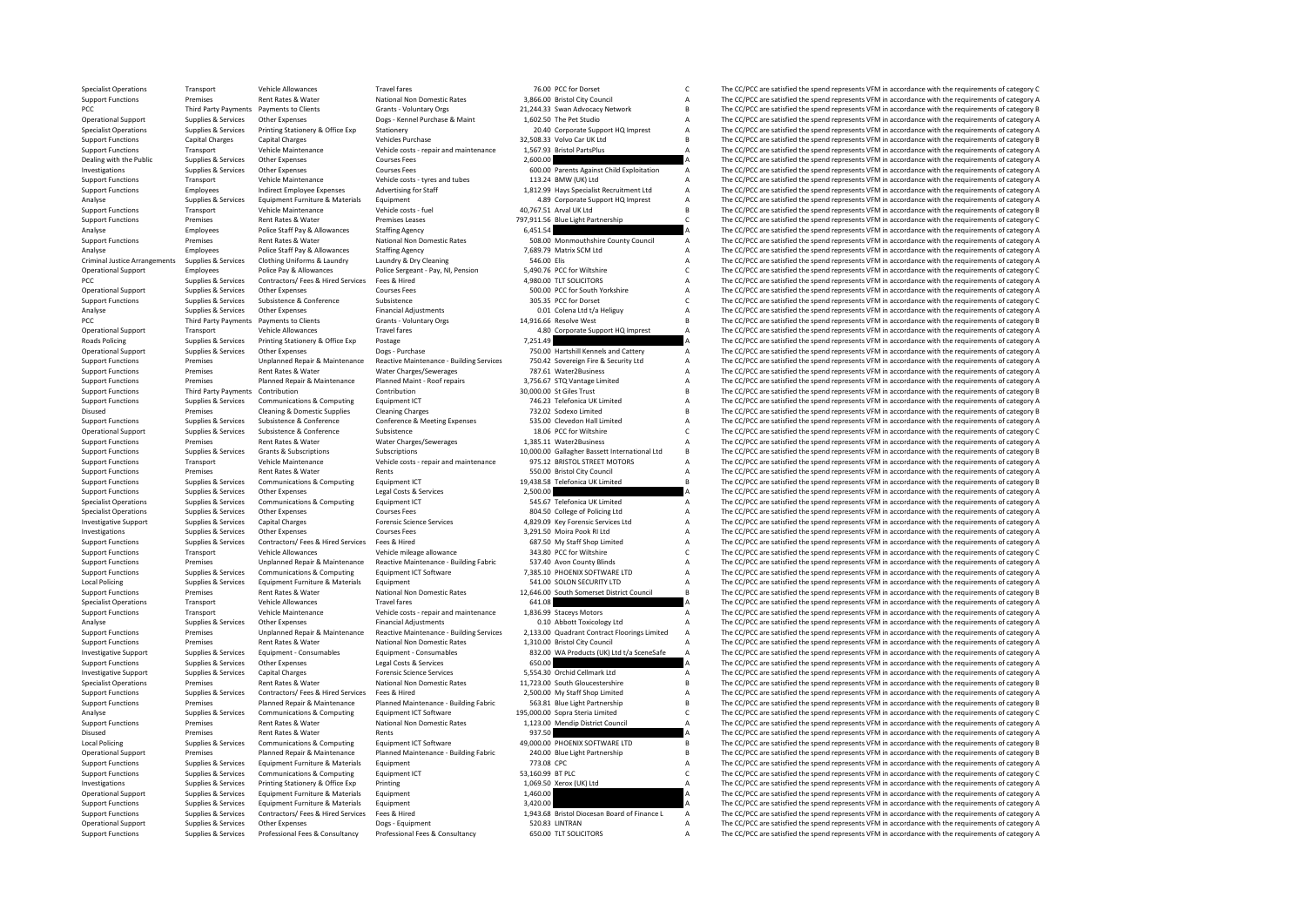Specialist Operations Transport Vehicle Allowances Travel fares Travel fares 76.00 PCC for Dorset C The CC/PCC are satisfied the spend represents VFM in accordance with the requirements of category C The Superations Premis Support Functions Premises Rent Rates & Water National Non Domestic Rates 3,866.00 Bristol City Council A The CC/PCC are satisfied the spend represents VFM in accordance with the requirements of category B<br>PCC The CC/PCC a PCC Third Party Payments Payments to Clients Grants - Voluntary Orgs 21,244.33 Swan Advocacy Network B The CC/PCC are satisfied the spend represents VFM in accordance with the requirements of category B Dogs - Kennel Purch Operational Support Supplies & Services Other Expenses Dogs - Kennel Purchase & Maint 1,602.50 The Pet Studio A The CC/PCC are satisfied the spend represents VFM in accordance with the requirements of category A Specialist Specialist Operations Supplies & Services Printing Stationery & Office Exp Stationery Stationery 20.40 Corporate Support HQ Imprest A The CC/PCC are satisfied the spend represents VFM in accordance with the requirements of Support Functions Capital Charges Capital Charges Vehicles Purchase 32,508.33 Volvo Car UK Ltd B The CC/PCC are satisfied the spend represents VFM in accordance with the requirements of category B Support Functions Transpo Support Functions Transport Vehicle Maintenance Vehicle costs - repair and maintenance 1,567.93 Bristol PartsPlus A The CC/PCC are satisfied the spend represents VFM in accordance with the requirements of category A Dealin Dealing with the Public Supplies & Services Other Expenses Courses Fees 2,600.00 arents Against Child Exploitation A The CC/PCC are satisfied the spend represents VFM in accordance with the requirements of category A Cours The CC/PCC are satisfied the spend represents VFM in accordance with the requirements of category A Support Functions Transport Vehicle Maintenance Vehicle costs - tyres and tubes 113.24 BMW (UK) Ltd A The CC/PCC are satisfied the spend represents VFM in accordance with the requirements of category A Support Functions Em Support Functions Employees Indirect Employee Expenses Advertising for Staff 1,812.99 Hays Specialist Recruitment Ltd A The CC/PCC are satisfied the spend represents VFM in accordance with the requirements of category A a Analyse Supplies & Services Equipment Furniture & Materials Equipment Equipment A A AB Corporate Support HQ Imprest A The CC/PCC are satisfied the spend represents VFM in accordance with the requirements of category A Vehi Support Functions Transport Vehicle Maintenance Vehicle costs - fuel 40,767.51 Arval UK Ltd B The CC/PCC are satisfied the spend represents VFM in accordance with the requirements of category B<br>Support Functions Premises R Support Functions Premises Premises Leases Text The Light Partnership C The CC/PCC are satisfied the spend represents VFM in accordance with the requirements of category C are satisfied the spend represents VFM in accordan Analyse Employees Police Staff Pay & Allowances Staffing Agency 6,451.54 6,451.54 A The CC/PCC are satisfied the spend represents VFM in accordance with the requirements of category A Subsett Pay and the spend represents V Rent Rates & Water Mational Non Domestic Rates 508.00 Monmouthshire County Council A The CC/PCC are satisfied the spend represents VFM in accordance with the requirements of category A<br>Police Staff parameters and the requi Analyse Employees Police Staff Pay & Allowances Staffing Agency 7,689.79 Matrix SCM Ltd A The CC/PCC are satisfied the spend represents VFM in accordance with the requirements of category A Criminal lustice Arrangements Se Criminal Justice Arrangements Supplies & Services Clothing Uniforms & Laundry Laundry & Dry Cleaning Many Sacson States and the Service of Criminal Justice Arrangements VFM in accordance with the requirements of category A Operational Support Police Pay & Allowances Police Sergeant - Pay, NI, Pension 5,490.76 PCC for Wiltshire C The CC/PCC are satisfied the spend represents VFM in accordance with the requirements of category C are satisfied PCC PEC Supplies & Services Contractors/ Fees & Hired Services Fees & Hired 4,980.00 TLT SOLICITORS A The CC/PCC are satisfied the spend represents VFM in accordance with the requirements of category A Contractors/ Fees A Operational Supplies Aservices Other Expenses Courses Fees Courses Fees 500.00 PCC for South Yorkshire A The CC/PCC are satisfied the spend represents VFM in accordance with the requirements of category A Support Functions Support Functions Supplies & Services Subsistence Subsistence Subsistence Subsistence Subsistence Subsistence<br>
Analyse and the compact of the spend represents VFM in accordance with the requirements of category A<br>
Analyse Analyse Supplies & Services Other Expenses Supplies Aservices Other Expenses Financial Adjustments of category<br>A The CC/PCC are satisfied the spend represents VFM in accordance with the requirements of category A CC/PCC ar PCC Third Party Payments Payments to Clients Grants - Voluntary Orgs 14,916.66 Resolve West B The CC/PCC are satisfied the spend represents VFM in accordance with the requirements of category B The Crient A The CC/PCC are Operational Support Transport Vehicle Allowances Travel fares Travel fares 4.80 Corporate Support HQ Imprest A The CC/PCC are satisfied the spend represents VFM in accordance with the requirements of category A Roads Polic Roads Policing Supplies & Services Printing Stationery & Office Exp Postage Printing Stationery & Office Exp Postage 7,251.49 A The CC/PCC are satisfied the spend represents VFM in accordance with the requirements of categ Other Expenses Dogs - Purchase Dogs - Purchase 750.00 Hartshill Kennels and Cattery A The CC/PCC are satisfied the spend represents VFM in accordance with the requirements of category A The Category A The Crime and The Cat Sunnort Functions and the second provides are an inchanged Repair & Maintenance Reactive Maintenance Ruilding Services 750.42 Sovereign Fire & Security Itd a The CC/PCC are satisfied the spend represents VFM in accordance Support Functions Premises Rent Rates & Water Water Water Rates/Sewerages 787.61 Water2Business A The CC/PCC are satisfied the spend represents VFM in accordance with the requirements of category A Support Functions Premis Support Functions Premises Planned Repair & Maintenance Planned Maint - Roof repairs 3,756.67 STQ Vantage Limited A The CC/PCC are satisfied the spend represents VFM in accordance with the requirements of category B<br>Suppor Support Function Contribution Contribution Contribution 30,000.00 St Giles Trust B The CC/PCC are satisfied the spend represents VFM in accordance with the requirements of category B 146.23 Telefonica UK Limited A The CC/P Support Functions Supplies & Services Communications & Computing Equipment ICT 746.23 Telefonica UK Limited A The CC/PCC are satisfied the spend represents VFM in accordance with the requirements of category A District 101 Premises Cleaning & Domestic Supplies Cleaning Charges 732.02 Sodexo Limited B The CC/PCC are satisfied the spend represents VFM in accordance with the requirements of category B Support Functions Supplies & Services Subsistence Conference Conference Conference Conference Conference Conference Conference Subsistence Subsistence Subsistence a Subsistence a Subsistence a Subsistence a Subsistence a S Operational Subsistence Subsistence Subsistence Subsistence and the CONFECT Care satisfied the spend represents VFM in accordance with the requirements of category C 18.06 PCC for Wiltshire C C The CC/PCC are satisfied th Support Functions Premises Rent Rates & Water Water Charges/Sewerages 1,385.11 Water2Business A The CC/PCC are satisfied the spend represents VFM in accordance with the requirements of category A Support Functions Support Support Functions Supplies & Services Grants & Subscriptions Subscriptions Subscriptions Subscriptions Subscriptions Subscriptions Subscriptions and maintenance 10,000.00 Gallagher Bassett International Ltd B The CC/PCC ar Support Functions Transport Vehicle Maintenance Vehicle costs - repair and maintenance 975.12 BRISTOL STREET MOTORS A The CC/PCC are satisfied the spend represents VFM in accordance with the requirements of category A<br>Supp Experiences Rent Rates & Water Rents Rents Functions Premises Rents City Council A The CC/PCC are satisfied the spend represents VFM in accordance with the requirements of category A The CC/PC are categorically the spend r Support Functions Supplies & Services Communications & Computing Equipment ICT 19,438.58 Telefonica UK Limited B The CC/PCC are satisfied the spend represents VFM in accordance with the requirements of category B in a requ Support Functions Supplies & Services Other Expenses Legal Costs & Services 2,500.00 A The CC/PCC are satisfied the spend represents VFM in accordance with the requirements of category A<br>Specialist Operations Supplies & Se Specialist Operations Supplies & Services Communications & Computing Equipment ICT 545.67 Telefonica UK Limited The CC/PCC are satisfied the spend represents VFM in accordance with the requirements of category A Computing Specialist Operations Supplies & Services Other Expenses Courses Fees 804.50 Courses Fees 804.50 College of Policing Ltd A The CC/PCC are satisfied the spend represents VFM in accordance with the requirements of category A The CC/PCC are satisfied the spend represents VFM in accordance with the requirements of category A Investigations Supplies & Services Other Expenses Courses Fees S.291.50 Moira Pook RI Ltd A The CC/PCC are satisfied the spend represents VFM in accordance with the requirements of category A Supplies & Services Other Expe Support Functions Support Functions Supplies Contractors/ Fees & Hired Services Fees & Hired 687.50 My Staff Shop Limited A The CC/PCC are satisfied the spend represents VFM in accordance with the requirements of category Support Functions Transport Vehicle Allowances Vehicle Mileage allowance Vehicle mileage allowance 343.80 PCC for Wiltshire CC/PCC are satisfied the spend represents VFM in accordance with the requirements of category C Su Support Functions Premises Unplanned Repair & Maintenance Reactive Maintenance - Building Fabric 537.40 Avon County Blinds A The CC/PCC are satisfied the spend represents VFM in accordance with the requirements of category Support Functions Supplies & Services Communications & Computing Equipment ICT Software 7,385.10 PHOENIX SOFTWARE LTD A The CC/PCC are satisfied the spend represents VFM in accordance with the requirements of category A Lo Local Policing Supplies According Supplies According Supplies According Supplies According Supplies Supplies Supplies Supplies Supplies Supplies and The CC/PCC are satisfied the spend represents VFM in accordance with the Support Functions Premises Rent Rates Rent Rates Rent Rates National Non Domestic Rates 12,646.00 South Somerset District Council B The CC/PCC are satisfied the spend represents VFM in accordance with the requirements of c Specialist Operations Transport Vehicle Allowances Travel fares Travel fares 641.08 A The CC/PCC are satisfied the spend represents VFM in accordance with the requirements of category A<br>Support Functions Transport Vehicle Support Functions Transport Vehicle Maintenance Vehicle costs - repair and maintenance 1,836.99 Staceys Motors A The CC/PCC are satisfied the spend represents VFM in accordance with the requirements of category A Analyse S Other Expenses Financial Adjustments of category A<br>Dinalange Reactive Maintenance - Building Services 2013 00 Quadrant Contract Elonings Limited a The CC/PCC are satisfied the spend represents VFM in accordance with the re Support Functions Premises Unplanned Repair & Maintenance Reactive Maintenance - Building Services 2,133.00 Quadrant Contract Floorings Limited A The CC/PCC are satisfied the spend represents VFM in accordance with the req Support Functions Premises Rent Rates & Water National Non Domestic Rates 1,310.00 Bristol City Council A The CC/PCC are satisfied the spend represents VFM in accordance with the requirements of category A Investigative Su Supplies & Services Equipment - Consumables Equipment - Consumables Equipment - Consumables Equipment - Consumables<br>Supplies Services Services (Suppliers A Services Services 650.00 MA Products (UK) Ltd t/a SceneSafe A The Support Functions Supplies & Services Other Expenses Legal Costs & Services Expenses Legal Costs & Services Capital Costs & Services 650.00 A The CC/PCC are satisfied the spend represents VFM in accordance with the require Investigative Support Supplies & Services Capital Charges Forensic Science Services 5,554.30 Orchid Cellmark Ltd A The CC/PCC are satisfied the spend represents VFM in accordance with the requirements of category A Rent Ra Specialist Operations Premises Rent Rates & Water National Non Domestic Rates 11,723.00 South Gloucestershire B The CC/PCC are satisfied the spend represents VFM in accordance with the requirements of category B<br>Support Fu The CC/PCC are satisfied the spend represents VFM in accordance with the requirements of category A Sunnort Functions Commission of the Property of category Bannel Remains Maintenance Plannel Maintenance Ruilding Fabric 563.81 Rue Light Partnershin R The CC/PCC are satisfied the spend represents VFM in accordance with th Analyse Supplies & Services Communications & Computing Equipment ICT Software 195,000.00 Sopra Steria Limited C The CC/PCC are satisfied the spend represents VFM in accordance with the requirements of category C National N Support Functions Premises Rent Rates Rent Rates National Non Domestic Rates 1,123.00 Mendip District Council A The CC/PCC are satisfied the spend represents VFM in accordance with the requirements of category A District C Disused Premises Rent Rates & Water Rents Rents Rents Rents 937.50 A The CC/PCC are satisfied the spend represents VFM in accordance with the requirements of category A<br>A The CC/PCC are satisfied the spend represents VFM i The CC/PCC are satisfied the spend represents VFM in accordance with the requirements of category B Operational Support Premises Planned Repair & Maintenance Planned Maintenance - Building Fabric 240.00 Blue Light Partnership B The CC/PCC are satisfied the spend represents VFM in accordance with the requirements of categ Support Functions Supplies & Services Equipment Furniture & Materials Equipment Criticals Equipment Critical C<br>The CC/PCC are satisfied the spend represents VFM in accordance with the requirements of category A Satisfied t The CC/PCC are satisfied the spend represents VFM in accordance with the requirements of category C Investigations Supplies & Services Printing Stationery & Office Exp Printing Printing 1,069.50 Xerox (UK) Ltd A The CC/PCC are satisfied the spend represents VFM in accordance with the requirements of category A Constant A Operational Support Supplies & Services Equipment Furniture & Materials Equipment Equipment 1,460.00 A The CC/PCC are satisfied the spend represents VFM in accordance with the requirements of category A<br>
Support Functions The CC/PCC are satisfied the spend represents VFM in accordance with the requirements of category A Support European Supplies & Services Contractors/Fees & Hired Services Parties Property and the expectation of Finance L A The CC/PCC are satisfied the speed represents VEM in accordance with the requirements of category a Operational Support Supplies & Services Other Expenses Dogs - Equipment Dogs - Equipment Support Dogs - Equipment 500.00 TLT SOLISI LINTRAN A The CC/PCC are satisfied the spend represents VFM in accordance with the require Supplies & Services Professional Fees & Consultancy Professional Fees & Consultancy Professional Fees & Consultancy Consultancy 650.00 TLT SOLICITORS A The CC/PCC are satisfied the spend represents VFM in accordance with t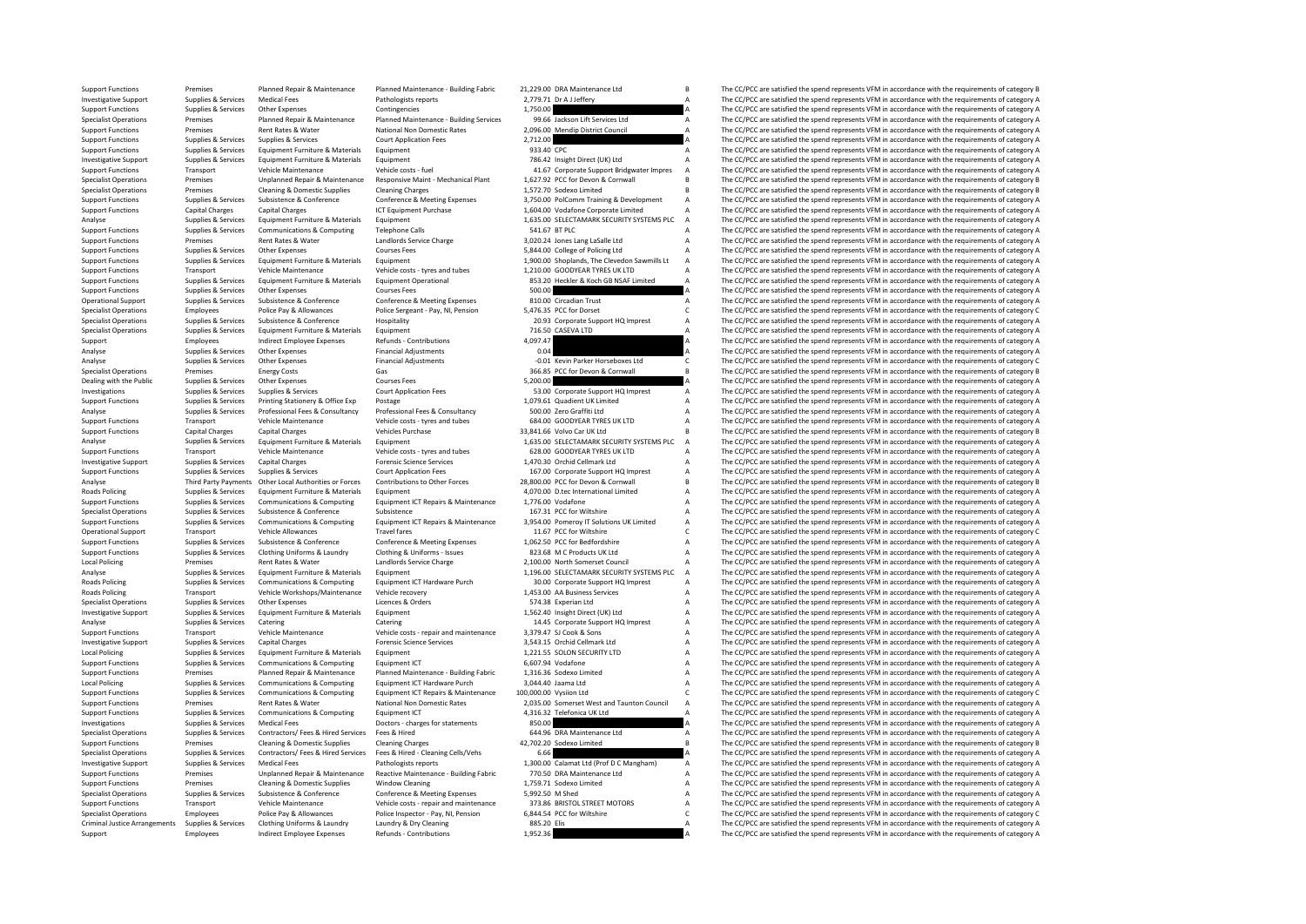Support Functions Premises Premises Planned Repair & Maintenance Planned Maintenance - Building Fabric 21,229.00 DRA Maintenance Ltd B The CC/PCC are satisfied the spend represents VFM in accordance with the requirements o Investigative Support Supplies & Services Medical Fees Medical Fees Pathologists reports 2,779.71 Dr A J Jeffery A The CC/PCC are satisfied the spend represents VFM in accordance with the requirements of category A Support Support Functions Supplies & Services Other Expenses Contingencies Contingencies 1,750.00 A The CC/PCC are satisfied the spend represents VFM in accordance with the requirements of category A<br>Specialist Operations Premises Specialist Operations Premises Planned Repair & Maintenance Planned Maintenance - Building Services 99.66 Jackson Lift Services Ltd A The CC/PCC are satisfied the spend represents VFM in accordance with the requirements of Support Functions Premises Rent Rates Rent Rates Rent Rates National Non Domestic Rates 2,096.00 Mendip District Council A The CC/PCC are satisfied the spend represents VFM in accordance with the requirements of category A Support Functions Supplies & Services Supplies & Services Court Application Fees 2,712.00 2,712.00 A The CC/PCC are satisfied the spend represents VFM in accordance with the requirements of category A Supplies & Services S Support Functions Supplies & Services Equipment Furniture & Materials Equipment Functions Equipment Punctions Equipment 1933.40 CPC A The CC/PCC are satisfied the spend represents VFM in accordance with the requirements of Investigative Support Supplies & Services Equipment Furniture & Materials Equipment Purniture & Materials Equipment Purniture & Materials Equipment Transport Purniture & Materials Equipment Transport Purniture & Materials Vehicle Maintenance Vehicle costs - fuel 41.67 Corporate Support Bridgwater Impres A The CC/PCC are satisfied the spend represents VFM in accordance with the requirements of category A<br>A The CLOC are satisfied the spend re Specialist Operations Premises Unplanned Repair & Maintenance Responsive Maint Mechanical Plant 1,627.92 PCC for Devon & Cornwall B The CC/PCC are satisfied the spend represents VFM in accordance with the requirements of c Specialist Operations Premises Cleaning & Domestic Supplies Cleaning Charges and the Charges 1,572.70 Sodexo Limited B The CC/PCC are satisfied the spend represents VFM in accordance with the requirements of category B Sup Supplies Supplies & Services Subsistence Conference Conference Conference Conference Conference Conference Conference Substement and the CONFerence of the CONFerence of Category A The COPCC are satisfied the spend represen Support Functions Capital Charges Capital Charges Capital Charges ICT Equipment Purchase 1,604.00 Vodafone Corporate Limited A The CC/PCC are satisfied the spend represents VFM in accordance with the requirements of catego Analyse Supplies & Services Equipment Furniture & Materials Equipment 1,635.00 SELECTAMARK SECURITY SYSTEMS PLC A The CC/PCC are satisfied the spend represents VFM in accordance with the requirements of category A Supplies Support Functions Supplies & Services Communications & Computing Telephone Calls Telephone Calls 541.67 BT PLC<br>Support Functions Support Functions Service Charge Computing and the computing computing computing a service C<br> Experiment Premises Rent Rates & Water Landlords Service Charge 3,020.24 Jones Lang LaSalle Ltd A The CC/PCC are satisfied the spend represents VFM in accordance with the requirements of category A Courses Fees S,844.00 Co Support Functions Supplies & Services Other Expenses Courses Fees Courses Fees 5,844.00 College of Policing Ltd A The CC/PCC are satisfied the spend represents VFM in accordance with the requirements of category A Support Supplies Supplies & Services Equipment Furniture & Materials Equipment Equipment Equipment Equipment Equipment<br>
Support Functions and the COPCC are satisfied the spend represents VFM in accordance with the requirements of Support Functions Transport Vehicle Maintenance Vehicle costs - tyres and tubes 1,210.00 GOODYEAR TYRES UK LTD A The CC/PCC are satisfied the spend represents VFM in accordance with the requirements of category A SS3.20 He 853.20 Heckler & Koch GB NSAF Limited  $\overline{A}$  The CC/PCC are satisfied the spend represents VFM in accordance with the requirements of category A Support Functions Supplies & Services Other Expenses Courses Fees 500.00 Support Tunck of Courses Conference American Courses Fees 500.00 Circadian Trust A The CC/PCC are satisfied the spend represents VFM in accordance wi Operational Support Supplies & Services Subsistence & Conference Conference & Meeting Expenses 810.00 Circadian Trust A The CC/PCC are satisfied the spend represents VFM in accordance with the requirements of category A Po Specialist Operations Employees Police Pay & Allowances Police Sergeant - Pay, NI, Pension 5,476.35 PCC for Dorset C The CC/PCC are satisfied the spend represents VFM in accordance with the requirements of category C<br>Speci Specialist Operations Supplies & Services Subsistence & Conference Hospitality 20.93 Corporate Support HQ Imprest A The CC/PCC are satisfied the spend represents VFM in accordance with the requirements of category A<br>Specia Equipment Furniture & Materials Equipment<br>
Specialist Operations A The CC/PCC are satisfied the spend represents VFM in accordance with the requirements of category A a dona are a dona are a dona are a dona are a dona are Support Employees Indirect Employee Expenses Refunds Contributions 4,097.47 4,097.47 A The CC/PCC are satisfied the spend represents VFM in accordance with the requirements of category A Category A Category A The CC/PCC ar Analysies Supplies Supplies Other Expenses Financial Adjustments Communication Communication of the CC/PCC are satisfied the spend represents VFM in accordance with the requirements of category A communication of category Analyse Supplies Services Other Expenses Financial Adjustments -0.01 Kevin Parker Horseboxes Ltd C The CC/PCC are satisfied the spend represents VEM in accordance with the enguirements of category C The CC/PC are satisfied Specialist Operations Premises Energy Costs Specialist Operations Premises Energy Costs Gategory B Cases Gas 366.85 PCC for Devon & Cornwall B The CC/PCC are satisfied the spend represents VFM in accordance with the requir Dealing with the Public Supplies & Services Other Expenses Courses Fees 5,200.00 5,200.00 A The CC/PCC are satisfied the spend represents VFM in accordance with the requirements of category A Courses Courses Court Applicat Investigations Supplies & Services Support Support Support HQ Imprest The CC/PCC are satisfied the spend represents VFM in accordance with the requirements of category A The CC/PCC are satisfied the spend represents VFM in Support Functions Supplies & Services Printing Stationery & Office Exp Postage Professional Expect Principal Expect Professional Expect Professional Expect Professional Expect Professional Expect Professional Expect Profes The CC/PCC are satisfied the spend represents VFM in accordance with the requirements of category A Support Functions Transport Vehicle Maintenance Vehicle costs - tyres and tubes 684.00 GOODYEAR TYRES UK LTD A The CC/PCC are satisfied the spend represents VFM in accordance with the requirements of category B<br>Support Fun S3,841.66 Volvo Car UK Ltd **B** B The CC/PCC are satisfied the spend represents VFM in accordance with the requirements of category B<br>1.635.00 SEIFCTAMARK SECURITY SYSTEMS PUC A The CC/PCC are satisfied the spend represents Analyse Supplies & Services Equipment Furniture & Materials Equipment Equipment 1,635.00 SELECTAMARK SECURITY SYSTEMS PLC A The CC/PCC are satisfied the spend represents VFM in accordance with the requirements of category Support Functions Transport Vehicle Maintenance Vehicle costs - tyres and tubes 628.00 GOODYEAR TYRES UK LTD A The CC/PCC are satisfied the spend represents VFM in accordance with the requirements of category A results and Investigative Support Supplies & Services Capital Charges Forensic Science Services Forensic Science Services 1,470.30 Orchid Cellmark Ltd A The CC/PCC are satisfied the spend represents VFM in accordance with the requirem Supplies & Services Court Application Fees 167.00 Corporate Support HQ Imprest A The CC/PCC are satisfied the spend represents VFM in accordance with the requirements of category A<br>Other Local Authorities or Forces Contrib Analyse Third Party Payments Other Local Authorities or Forces Contributions to Other Forces 28,800.00 PCC for Devon & Cornwall B The CC/PCC are satisfied the spend represents VFM in accordance with the requirements of cat Roads Policing Supplies & Services Equipment Furniture & Materials Equipment LC Equipment A 4,070.00 D.tec International Limited A The CC/PCC are satisfied the spend represents VFM in accordance with the requirements of ca Support Functions Supplies & Services Communications & Computing Equipment ICT Repairs & Maintenance 1,776.00 Vodafone A The CC/PCC are satisfied the spend represents VFM in accordance with the requirements of category A S Specialist Operations Supplies & Services Subsistence Subsistence Subsistence Subsistence Subsistence Subsistence Subsistence Subsistence and the CC/PC are satisfied the spend represents VFM in accordance with the requirem Communications & Computing Equipment ICT Repairs & Maintenance 3,954.00 Pomeroy IT Solutions UK Limited The CC/PCC are satisfied the spend represents VFM in accordance with the requirements of category A<br>Vehicle Allowances Operational Support Transport Vehicle Allowances Travel fares Travel fares 11.67 PCC for Wiltshire C The CC/PCC are satisfied the spend represents VFM in accordance with the requirements of category C The Crisis Allowances Support Functions Supplies & Services Subsistence & Conference Conference Conference Conference Conference Conference a Conference a Conference a LOG2.50 PCC for Bedfordshire A The CC/PCC are satisfied the spend represents The CC/PCC are satisfied the spend represents VFM in accordance with the requirements of category A Local Policing Premises Rent Rates & Water Landlords Service Charge 2,100.00 North Somerset Council A The CC/PCC are satisfied the spend represents VFM in accordance with the requirements of category A Care in the requirem Analyse Supplies & Services Equipment Furniture & Materials Equipment Critations Equipment 1,196.00 SELECTAMARK SECURITY SYSTEMS PLC A The CC/PCC are satisfied the spend represents VFM in accordance with the requirements o Communications & Computing Equipment ICT Hardware Purch 30.00 Corporate Support HQ Imprest A The CC/PCC are satisfied the spend represents VFM in accordance with the requirements of category A<br>Vehicle Workshons/Maintenance Roads Policing Transport Vehicle Workshops/Maintenance Vehicle recovery 1,453.00 AA Business Services A The CC/PCC are satisfied the spend represents VFM in accordance with the requirements of category A Special Services C Specialist Operations Supplies & Services Other Expenses Licences & Orders Corders Supplies Corders Supplies A The CC/PCC are satisfied the spend represents VFM in accordance with the requirements of category A Licences A Investigative Support Supplies & Services Equipment Furniture & Materials Equipment Equipment 1,562.40 Insight Direct (UK) Ltd A The CC/PCC are satisfied the spend represents VFM in accordance with the requirements of cate Catering Catering Catering Catering Catering 14.45 Corporate Support HQ Imprest A The CC/PCC are satisfied the spend represents VFM in accordance with the requirements of category A<br>Vehicle Maintenance VFM in accordance VF Support Functions Transport Vehicle Maintenance Vehicle costs - repair and maintenance 3,379.47 SJ Cook & Sons A The CC/PCC are satisfied the spend represents VFM in accordance with the requirements of category A Crite Con Investigative Support Supplies & Services Capital Charges Forensic Science Services Forensic Science Services 3,543.15 Orchid Cellmark Ltd A The CC/PCC are satisfied the spend represents VFM in accordance with the requirem Supplies & Services Equipment Furniture & Materials Equipment equipment and the statisfied of the CC/PC are satisfied the spend represents VFM in accordance with the requirements of category A a statisfied the spend repres Support Functions Supplies & Services Communications & Computing Equipment ICT 6,607.94 Vodafone A The CC/PCC are satisfied the spend represents VFM in accordance with the requirements of category A Support Functions Premises Planned Repair & Maintenance Planned Maintenance - Building Fabric 1,316.36 Sodexo Limited A The CC/PCC are satisfied the spend represents VFM in accordance with the requirements of category A Th Local Policing Supplies Services Communications & Computing Equipment ICT Hardware Purch 3,044.40 Jaama Ltd A The CC/PCC are satisfied the spend represents VFM in accordance with the requirements of category A Supplies & S The CC/PCC are satisfied the spend represents VFM in accordance with the requirements of category C Support Functions Premises Rent Rates Rent Rates Rent Rates Premises Rent Rates 2,035.00 Somerset West and Taunton Council A The CC/PCC are satisfied the spend represents VFM in accordance with the requirements of category Support Functions Supplies & Services Communications & Computing Equipment ICT 4,316.32 Telefonica UK Ltd A The CC/PCC are satisfied the spend represents VFM in accordance with the requirements of category A Dectors - char Investigations Supplies & Services Medical Fees Doctors - charges for statements and the charges of statement are to develop to the spend of the spend represents of the spend represents VFM in accordance with the requireme Specialist Operations Supplies & Services Contractors/ Fees & Hired Services Fees & Hired 644.96 DRA Maintenance Ltd A The CC/PCC are satisfied the spend represents VFM in accordance with the requirements of category A Sup Premises Cleaning & Domestic Supplies Cleaning Charges 42,702.20 Sodexo Limited B The CC/PCC are satisfied the spend represents VFM in accordance with the requirements of category B Specialist Operations Supplies & Services Contractors/ Fees & Hired Services Fees & Hired - Cleaning Cells/Vehs 6.66 A The CC/PCC are satisfied the spend represents VFM in accordance with the requirements of category A Cri Investigative Support Supplies & Services Medical Fees Pathologists reports Pathologists reports 1,300.00 Calamat Ltd (Prof D C Mangham) A The CC/PCC are satisfied the spend represents VFM in accordance with the requiremen Premises Unplanned Repair & Maintenance Reactive Maintenance - Building Fabric 770.50 DRA Maintenance Ltd Maintenance And The CC/PCC are satisfied the spend represents VFM in accordance with the requirements of category A<br> Support Functions Premises Cleaning & Domestic Supplies Window Cleaning 1,759.71 Sodexo Limited A The CC/PCC are satisfied the spend represents VFM in accordance with the requirements of category A Constant Constance A Con Specialist Operations Supplies & Services Subsistence & Conference Conference Conference Conference Conference Conference Bubsistence Specialist Specialist A The CC/PCC are satisfied the spend represents VFM in accordance The CC/PCC are satisfied the spend represents VFM in accordance with the requirements of category A Specialist Operations Employees Police Pay & Allowances Pay NI, Pension 6,844.54 PCC for Wiltshire C The CC/PCC are satisfied the spend represents VFM in accordance with the requirements of category Cleaning In accordance Criminal Justice Arrangements Supplies & Services Clothing Uniforms & Laundry Laundry Laundry & Dry Cleaning 885.20 Elis A The CC/PCC are satisfied the spend represents VFM in accordance with the requirements of category A Support Employees Indirect Employee Expenses Refunds Contributions 1,952.36 A The CC/PCC are satisfied the spend represents VFM in accordance with the requirements of category A